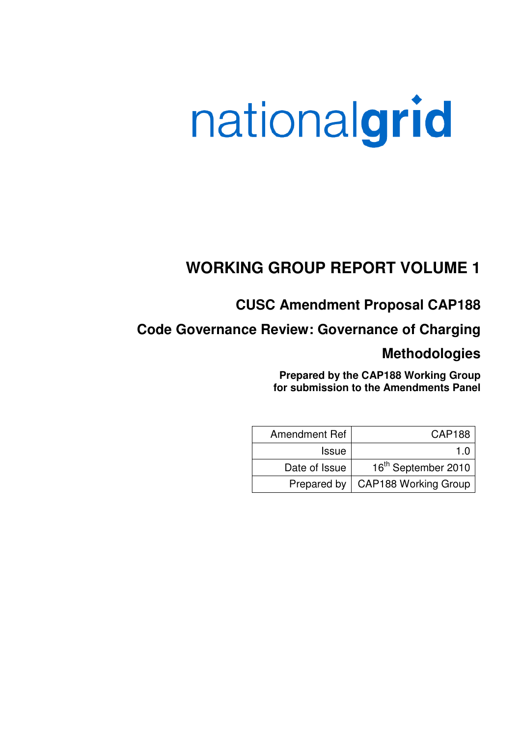# nationalgrid

# **WORKING GROUP REPORT VOLUME 1**

# **CUSC Amendment Proposal CAP188**

**Code Governance Review: Governance of Charging** 

## **Methodologies**

**Prepared by the CAP188 Working Group for submission to the Amendments Panel**

| Amendment Ref | <b>CAP188</b>                      |
|---------------|------------------------------------|
| <b>Issue</b>  | 1 O                                |
| Date of Issue | 16 <sup>th</sup> September 2010    |
|               | Prepared by   CAP188 Working Group |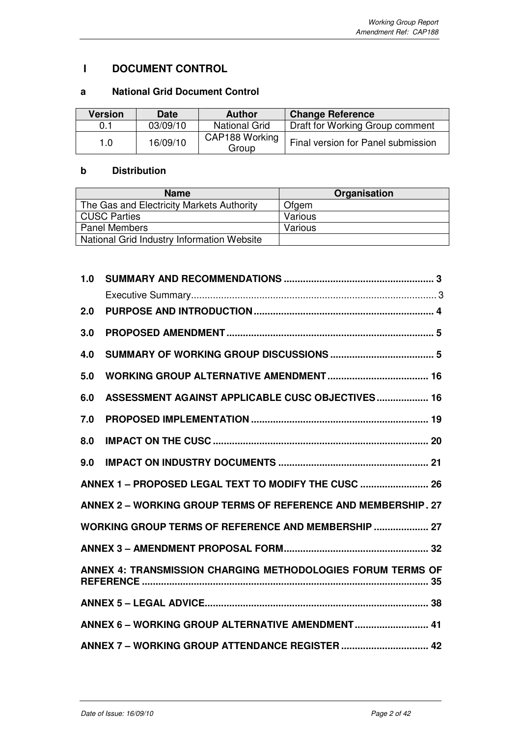## **I DOCUMENT CONTROL**

## **a National Grid Document Control**

| <b>Version</b> | <b>Date</b> | <b>Author</b>           | <b>Change Reference</b>            |
|----------------|-------------|-------------------------|------------------------------------|
| 0.1            | 03/09/10    | <b>National Grid</b>    | Draft for Working Group comment    |
| 1.0            | 16/09/10    | CAP188 Working<br>Group | Final version for Panel submission |

## **b Distribution**

| <b>Name</b>                                | Organisation |
|--------------------------------------------|--------------|
| The Gas and Electricity Markets Authority  | Ofgem        |
| <b>CUSC Parties</b>                        | Various      |
| <b>Panel Members</b>                       | Various      |
| National Grid Industry Information Website |              |

| 1.0 |                                                               |
|-----|---------------------------------------------------------------|
|     |                                                               |
| 2.0 |                                                               |
| 3.0 |                                                               |
| 4.0 |                                                               |
| 5.0 |                                                               |
| 6.0 | ASSESSMENT AGAINST APPLICABLE CUSC OBJECTIVES 16              |
| 7.0 |                                                               |
| 8.0 |                                                               |
| 9.0 |                                                               |
|     | ANNEX 1 - PROPOSED LEGAL TEXT TO MODIFY THE CUSC  26          |
|     | ANNEX 2 - WORKING GROUP TERMS OF REFERENCE AND MEMBERSHIP. 27 |
|     | WORKING GROUP TERMS OF REFERENCE AND MEMBERSHIP  27           |
|     |                                                               |
|     | ANNEX 4: TRANSMISSION CHARGING METHODOLOGIES FORUM TERMS OF   |
|     |                                                               |
|     | ANNEX 6 - WORKING GROUP ALTERNATIVE AMENDMENT 41              |
|     | ANNEX 7 - WORKING GROUP ATTENDANCE REGISTER  42               |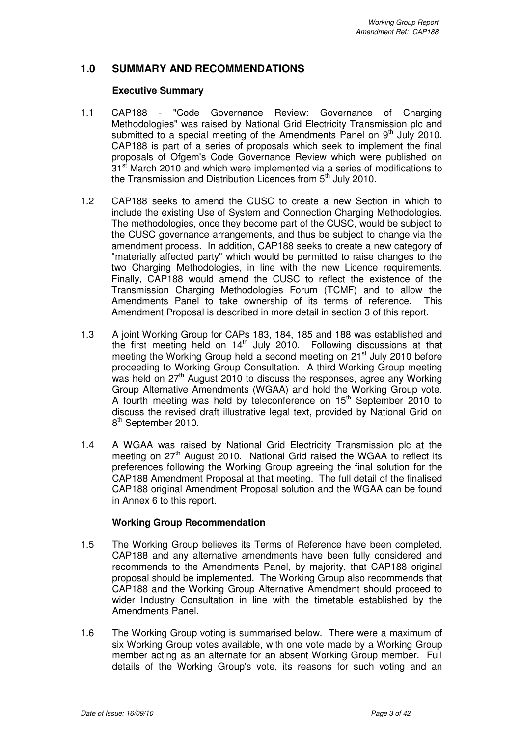## **1.0 SUMMARY AND RECOMMENDATIONS**

#### **Executive Summary**

- 1.1 CAP188 "Code Governance Review: Governance of Charging Methodologies" was raised by National Grid Electricity Transmission plc and submitted to a special meeting of the Amendments Panel on  $9<sup>th</sup>$  July 2010. CAP188 is part of a series of proposals which seek to implement the final proposals of Ofgem's Code Governance Review which were published on  $31<sup>st</sup>$  March 2010 and which were implemented via a series of modifications to the Transmission and Distribution Licences from  $5<sup>th</sup>$  July 2010.
- 1.2 CAP188 seeks to amend the CUSC to create a new Section in which to include the existing Use of System and Connection Charging Methodologies. The methodologies, once they become part of the CUSC, would be subject to the CUSC governance arrangements, and thus be subject to change via the amendment process. In addition, CAP188 seeks to create a new category of "materially affected party" which would be permitted to raise changes to the two Charging Methodologies, in line with the new Licence requirements. Finally, CAP188 would amend the CUSC to reflect the existence of the Transmission Charging Methodologies Forum (TCMF) and to allow the Amendments Panel to take ownership of its terms of reference. This Amendment Proposal is described in more detail in section 3 of this report.
- 1.3 A joint Working Group for CAPs 183, 184, 185 and 188 was established and the first meeting held on  $14<sup>th</sup>$  July 2010. Following discussions at that meeting the Working Group held a second meeting on  $21<sup>st</sup>$  July 2010 before proceeding to Working Group Consultation. A third Working Group meeting was held on  $27<sup>th</sup>$  August 2010 to discuss the responses, agree any Working Group Alternative Amendments (WGAA) and hold the Working Group vote. A fourth meeting was held by teleconference on  $15<sup>th</sup>$  September 2010 to discuss the revised draft illustrative legal text, provided by National Grid on 8<sup>th</sup> September 2010.
- 1.4 A WGAA was raised by National Grid Electricity Transmission plc at the meeting on 27<sup>th</sup> August 2010. National Grid raised the WGAA to reflect its preferences following the Working Group agreeing the final solution for the CAP188 Amendment Proposal at that meeting. The full detail of the finalised CAP188 original Amendment Proposal solution and the WGAA can be found in Annex 6 to this report.

#### **Working Group Recommendation**

- 1.5 The Working Group believes its Terms of Reference have been completed, CAP188 and any alternative amendments have been fully considered and recommends to the Amendments Panel, by majority, that CAP188 original proposal should be implemented. The Working Group also recommends that CAP188 and the Working Group Alternative Amendment should proceed to wider Industry Consultation in line with the timetable established by the Amendments Panel.
- 1.6 The Working Group voting is summarised below. There were a maximum of six Working Group votes available, with one vote made by a Working Group member acting as an alternate for an absent Working Group member. Full details of the Working Group's vote, its reasons for such voting and an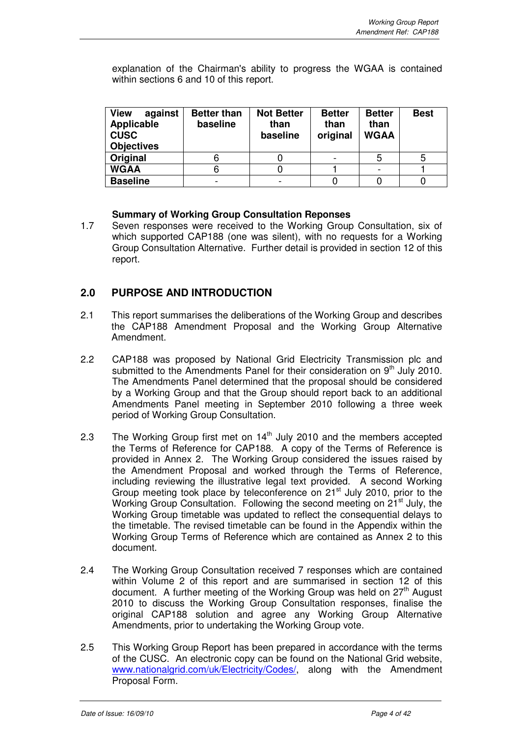explanation of the Chairman's ability to progress the WGAA is contained within sections 6 and 10 of this report.

| <b>View</b><br>against<br>Applicable<br><b>CUSC</b><br><b>Objectives</b> | <b>Better than</b><br>baseline | <b>Not Better</b><br>than<br>baseline | <b>Better</b><br>than<br>original | <b>Better</b><br>than<br><b>WGAA</b> | <b>Best</b> |
|--------------------------------------------------------------------------|--------------------------------|---------------------------------------|-----------------------------------|--------------------------------------|-------------|
| Original                                                                 | O                              |                                       |                                   | 5                                    |             |
| <b>WGAA</b>                                                              | 6                              |                                       |                                   |                                      |             |
| <b>Baseline</b>                                                          |                                |                                       |                                   |                                      |             |

## **Summary of Working Group Consultation Reponses**

1.7 Seven responses were received to the Working Group Consultation, six of which supported CAP188 (one was silent), with no requests for a Working Group Consultation Alternative. Further detail is provided in section 12 of this report.

## **2.0 PURPOSE AND INTRODUCTION**

- 2.1 This report summarises the deliberations of the Working Group and describes the CAP188 Amendment Proposal and the Working Group Alternative Amendment.
- 2.2 CAP188 was proposed by National Grid Electricity Transmission plc and submitted to the Amendments Panel for their consideration on 9<sup>th</sup> July 2010. The Amendments Panel determined that the proposal should be considered by a Working Group and that the Group should report back to an additional Amendments Panel meeting in September 2010 following a three week period of Working Group Consultation.
- 2.3 The Working Group first met on  $14<sup>th</sup>$  July 2010 and the members accepted the Terms of Reference for CAP188. A copy of the Terms of Reference is provided in Annex 2. The Working Group considered the issues raised by the Amendment Proposal and worked through the Terms of Reference, including reviewing the illustrative legal text provided. A second Working Group meeting took place by teleconference on 21<sup>st</sup> July 2010, prior to the Working Group Consultation. Following the second meeting on 21<sup>st</sup> July, the Working Group timetable was updated to reflect the consequential delays to the timetable. The revised timetable can be found in the Appendix within the Working Group Terms of Reference which are contained as Annex 2 to this document.
- 2.4 The Working Group Consultation received 7 responses which are contained within Volume 2 of this report and are summarised in section 12 of this document. A further meeting of the Working Group was held on  $27<sup>th</sup>$  August 2010 to discuss the Working Group Consultation responses, finalise the original CAP188 solution and agree any Working Group Alternative Amendments, prior to undertaking the Working Group vote.
- 2.5 This Working Group Report has been prepared in accordance with the terms of the CUSC. An electronic copy can be found on the National Grid website, www.nationalgrid.com/uk/Electricity/Codes/, along with the Amendment Proposal Form.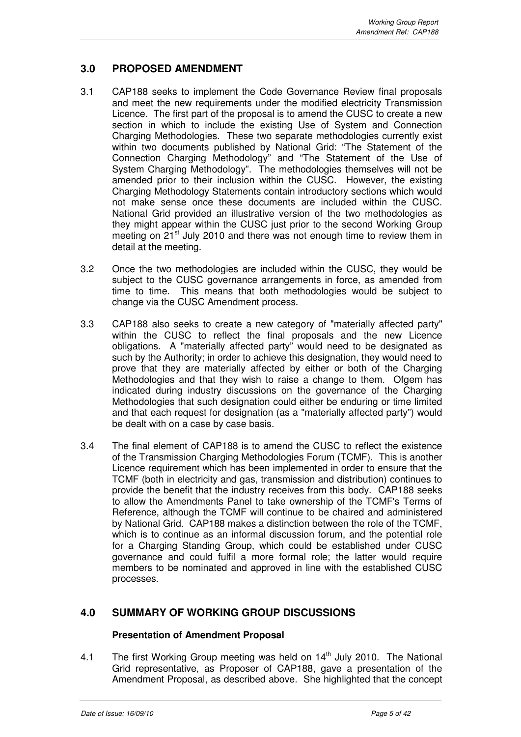## **3.0 PROPOSED AMENDMENT**

- 3.1 CAP188 seeks to implement the Code Governance Review final proposals and meet the new requirements under the modified electricity Transmission Licence. The first part of the proposal is to amend the CUSC to create a new section in which to include the existing Use of System and Connection Charging Methodologies. These two separate methodologies currently exist within two documents published by National Grid: "The Statement of the Connection Charging Methodology" and "The Statement of the Use of System Charging Methodology". The methodologies themselves will not be amended prior to their inclusion within the CUSC. However, the existing Charging Methodology Statements contain introductory sections which would not make sense once these documents are included within the CUSC. National Grid provided an illustrative version of the two methodologies as they might appear within the CUSC just prior to the second Working Group meeting on 21<sup>st</sup> July 2010 and there was not enough time to review them in detail at the meeting.
- 3.2 Once the two methodologies are included within the CUSC, they would be subject to the CUSC governance arrangements in force, as amended from time to time. This means that both methodologies would be subject to change via the CUSC Amendment process.
- 3.3 CAP188 also seeks to create a new category of "materially affected party" within the CUSC to reflect the final proposals and the new Licence obligations. A "materially affected party" would need to be designated as such by the Authority; in order to achieve this designation, they would need to prove that they are materially affected by either or both of the Charging Methodologies and that they wish to raise a change to them. Ofgem has indicated during industry discussions on the governance of the Charging Methodologies that such designation could either be enduring or time limited and that each request for designation (as a "materially affected party") would be dealt with on a case by case basis.
- 3.4 The final element of CAP188 is to amend the CUSC to reflect the existence of the Transmission Charging Methodologies Forum (TCMF). This is another Licence requirement which has been implemented in order to ensure that the TCMF (both in electricity and gas, transmission and distribution) continues to provide the benefit that the industry receives from this body. CAP188 seeks to allow the Amendments Panel to take ownership of the TCMF's Terms of Reference, although the TCMF will continue to be chaired and administered by National Grid. CAP188 makes a distinction between the role of the TCMF, which is to continue as an informal discussion forum, and the potential role for a Charging Standing Group, which could be established under CUSC governance and could fulfil a more formal role; the latter would require members to be nominated and approved in line with the established CUSC processes.

## **4.0 SUMMARY OF WORKING GROUP DISCUSSIONS**

## **Presentation of Amendment Proposal**

4.1 The first Working Group meeting was held on  $14<sup>th</sup>$  July 2010. The National Grid representative, as Proposer of CAP188, gave a presentation of the Amendment Proposal, as described above.She highlighted that the concept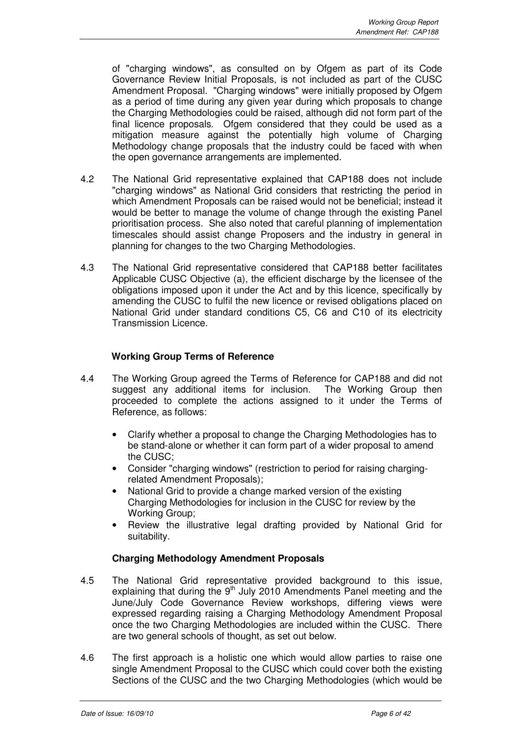of "charging windows", as consulted on by Ofgem as part of its Code Governance Review Initial Proposals, is not included as part of the CUSC Amendment Proposal. "Charging windows" were initially proposed by Ofgem as a period of time during any given year during which proposals to change the Charging Methodologies could be raised, although did not form part of the final licence proposals. Ofgem considered that they could be used as a mitigation measure against the potentially high volume of Charging Methodology change proposals that the industry could be faced with when the open governance arrangements are implemented.

- 4.2 The National Grid representative explained that CAP188 does not include "charging windows" as National Grid considers that restricting the period in which Amendment Proposals can be raised would not be beneficial; instead it would be better to manage the volume of change through the existing Panel prioritisation process. She also noted that careful planning of implementation timescales should assist change Proposers and the industry in general in planning for changes to the two Charging Methodologies.
- 4.3 The National Grid representative considered that CAP188 better facilitates Applicable CUSC Objective (a), the efficient discharge by the licensee of the obligations imposed upon it under the Act and by this licence, specifically by amending the CUSC to fulfil the new licence or revised obligations placed on National Grid under standard conditions C5, C6 and C10 of its electricity Transmission Licence.

## **Working Group Terms of Reference**

- 4.4 The Working Group agreed the Terms of Reference for CAP188 and did not suggest any additional items for inclusion. The Working Group then proceeded to complete the actions assigned to it under the Terms of Reference, as follows:
	- Clarify whether a proposal to change the Charging Methodologies has to be stand-alone or whether it can form part of a wider proposal to amend the CUSC;
	- Consider "charging windows" (restriction to period for raising chargingrelated Amendment Proposals);
	- National Grid to provide a change marked version of the existing Charging Methodologies for inclusion in the CUSC for review by the Working Group;
	- Review the illustrative legal drafting provided by National Grid for suitability.

#### **Charging Methodology Amendment Proposals**

- 4.5 The National Grid representative provided background to this issue, explaining that during the  $9<sup>th</sup>$  July 2010 Amendments Panel meeting and the June/July Code Governance Review workshops, differing views were expressed regarding raising a Charging Methodology Amendment Proposal once the two Charging Methodologies are included within the CUSC. There are two general schools of thought, as set out below.
- 4.6 The first approach is a holistic one which would allow parties to raise one single Amendment Proposal to the CUSC which could cover both the existing Sections of the CUSC and the two Charging Methodologies (which would be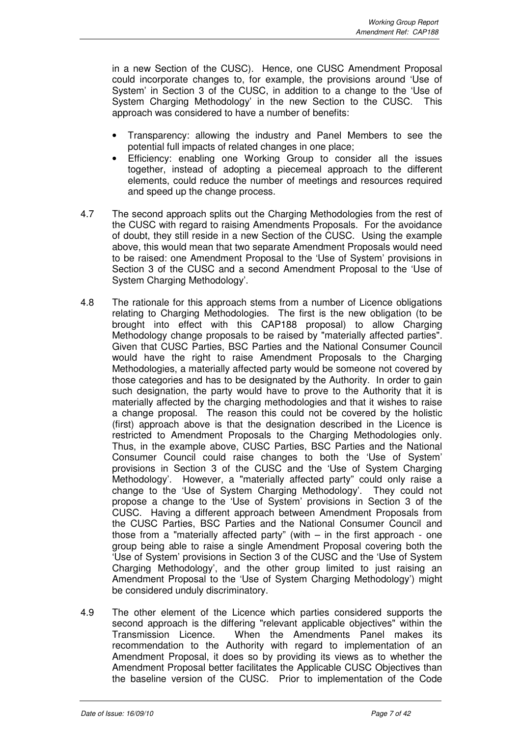in a new Section of the CUSC). Hence, one CUSC Amendment Proposal could incorporate changes to, for example, the provisions around 'Use of System' in Section 3 of the CUSC, in addition to a change to the 'Use of System Charging Methodology' in the new Section to the CUSC. This approach was considered to have a number of benefits:

- Transparency: allowing the industry and Panel Members to see the potential full impacts of related changes in one place;
- Efficiency: enabling one Working Group to consider all the issues together, instead of adopting a piecemeal approach to the different elements, could reduce the number of meetings and resources required and speed up the change process.
- 4.7 The second approach splits out the Charging Methodologies from the rest of the CUSC with regard to raising Amendments Proposals. For the avoidance of doubt, they still reside in a new Section of the CUSC. Using the example above, this would mean that two separate Amendment Proposals would need to be raised: one Amendment Proposal to the 'Use of System' provisions in Section 3 of the CUSC and a second Amendment Proposal to the 'Use of System Charging Methodology'.
- 4.8 The rationale for this approach stems from a number of Licence obligations relating to Charging Methodologies. The first is the new obligation (to be brought into effect with this CAP188 proposal) to allow Charging Methodology change proposals to be raised by "materially affected parties". Given that CUSC Parties, BSC Parties and the National Consumer Council would have the right to raise Amendment Proposals to the Charging Methodologies, a materially affected party would be someone not covered by those categories and has to be designated by the Authority. In order to gain such designation, the party would have to prove to the Authority that it is materially affected by the charging methodologies and that it wishes to raise a change proposal. The reason this could not be covered by the holistic (first) approach above is that the designation described in the Licence is restricted to Amendment Proposals to the Charging Methodologies only. Thus, in the example above, CUSC Parties, BSC Parties and the National Consumer Council could raise changes to both the 'Use of System' provisions in Section 3 of the CUSC and the 'Use of System Charging Methodology'. However, a "materially affected party" could only raise a change to the 'Use of System Charging Methodology'. They could not propose a change to the 'Use of System' provisions in Section 3 of the CUSC. Having a different approach between Amendment Proposals from the CUSC Parties, BSC Parties and the National Consumer Council and those from a "materially affected party" (with – in the first approach - one group being able to raise a single Amendment Proposal covering both the 'Use of System' provisions in Section 3 of the CUSC and the 'Use of System Charging Methodology', and the other group limited to just raising an Amendment Proposal to the 'Use of System Charging Methodology') might be considered unduly discriminatory.
- 4.9 The other element of the Licence which parties considered supports the second approach is the differing "relevant applicable objectives" within the Transmission Licence. When the Amendments Panel makes its recommendation to the Authority with regard to implementation of an Amendment Proposal, it does so by providing its views as to whether the Amendment Proposal better facilitates the Applicable CUSC Objectives than the baseline version of the CUSC. Prior to implementation of the Code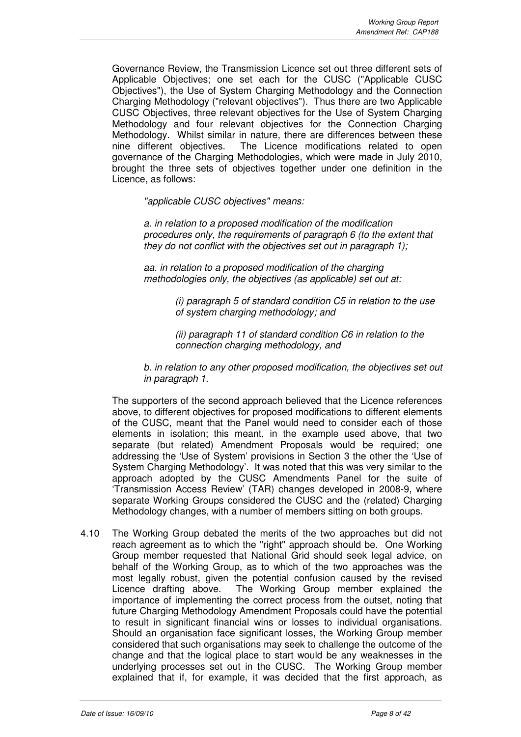Governance Review, the Transmission Licence set out three different sets of Applicable Objectives; one set each for the CUSC ("Applicable CUSC Objectives"), the Use of System Charging Methodology and the Connection Charging Methodology ("relevant objectives"). Thus there are two Applicable CUSC Objectives, three relevant objectives for the Use of System Charging Methodology and four relevant objectives for the Connection Charging Methodology. Whilst similar in nature, there are differences between these nine different objectives. The Licence modifications related to open governance of the Charging Methodologies, which were made in July 2010, brought the three sets of objectives together under one definition in the Licence, as follows:

"applicable CUSC objectives" means:

a. in relation to a proposed modification of the modification procedures only, the requirements of paragraph 6 (to the extent that they do not conflict with the objectives set out in paragraph 1);

aa. in relation to a proposed modification of the charging methodologies only, the objectives (as applicable) set out at:

> (i) paragraph 5 of standard condition C5 in relation to the use of system charging methodology; and

(ii) paragraph 11 of standard condition C6 in relation to the connection charging methodology, and

b. in relation to any other proposed modification, the objectives set out in paragraph 1.

The supporters of the second approach believed that the Licence references above, to different objectives for proposed modifications to different elements of the CUSC, meant that the Panel would need to consider each of those elements in isolation; this meant, in the example used above, that two separate (but related) Amendment Proposals would be required; one addressing the 'Use of System' provisions in Section 3 the other the 'Use of System Charging Methodology'. It was noted that this was very similar to the approach adopted by the CUSC Amendments Panel for the suite of 'Transmission Access Review' (TAR) changes developed in 2008-9, where separate Working Groups considered the CUSC and the (related) Charging Methodology changes, with a number of members sitting on both groups.

4.10 The Working Group debated the merits of the two approaches but did not reach agreement as to which the "right" approach should be. One Working Group member requested that National Grid should seek legal advice, on behalf of the Working Group, as to which of the two approaches was the most legally robust, given the potential confusion caused by the revised Licence drafting above. The Working Group member explained the importance of implementing the correct process from the outset, noting that future Charging Methodology Amendment Proposals could have the potential to result in significant financial wins or losses to individual organisations. Should an organisation face significant losses, the Working Group member considered that such organisations may seek to challenge the outcome of the change and that the logical place to start would be any weaknesses in the underlying processes set out in the CUSC. The Working Group member explained that if, for example, it was decided that the first approach, as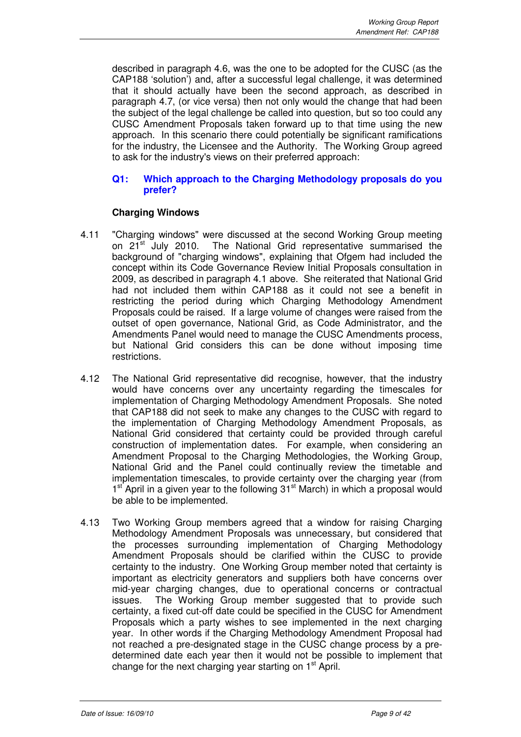described in paragraph 4.6, was the one to be adopted for the CUSC (as the CAP188 'solution') and, after a successful legal challenge, it was determined that it should actually have been the second approach, as described in paragraph 4.7, (or vice versa) then not only would the change that had been the subject of the legal challenge be called into question, but so too could any CUSC Amendment Proposals taken forward up to that time using the new approach. In this scenario there could potentially be significant ramifications for the industry, the Licensee and the Authority. The Working Group agreed to ask for the industry's views on their preferred approach:

#### **Q1: Which approach to the Charging Methodology proposals do you prefer?**

## **Charging Windows**

- 4.11 "Charging windows" were discussed at the second Working Group meeting on 21<sup>st</sup> July 2010. The National Grid representative summarised the background of "charging windows", explaining that Ofgem had included the concept within its Code Governance Review Initial Proposals consultation in 2009, as described in paragraph 4.1 above. She reiterated that National Grid had not included them within CAP188 as it could not see a benefit in restricting the period during which Charging Methodology Amendment Proposals could be raised. If a large volume of changes were raised from the outset of open governance, National Grid, as Code Administrator, and the Amendments Panel would need to manage the CUSC Amendments process, but National Grid considers this can be done without imposing time restrictions.
- 4.12 The National Grid representative did recognise, however, that the industry would have concerns over any uncertainty regarding the timescales for implementation of Charging Methodology Amendment Proposals. She noted that CAP188 did not seek to make any changes to the CUSC with regard to the implementation of Charging Methodology Amendment Proposals, as National Grid considered that certainty could be provided through careful construction of implementation dates. For example, when considering an Amendment Proposal to the Charging Methodologies, the Working Group, National Grid and the Panel could continually review the timetable and implementation timescales, to provide certainty over the charging year (from 1<sup>st</sup> April in a given year to the following 31<sup>st</sup> March) in which a proposal would be able to be implemented.
- 4.13 Two Working Group members agreed that a window for raising Charging Methodology Amendment Proposals was unnecessary, but considered that the processes surrounding implementation of Charging Methodology Amendment Proposals should be clarified within the CUSC to provide certainty to the industry. One Working Group member noted that certainty is important as electricity generators and suppliers both have concerns over mid-year charging changes, due to operational concerns or contractual issues. The Working Group member suggested that to provide such certainty, a fixed cut-off date could be specified in the CUSC for Amendment Proposals which a party wishes to see implemented in the next charging year. In other words if the Charging Methodology Amendment Proposal had not reached a pre-designated stage in the CUSC change process by a predetermined date each year then it would not be possible to implement that change for the next charging year starting on 1<sup>st</sup> April.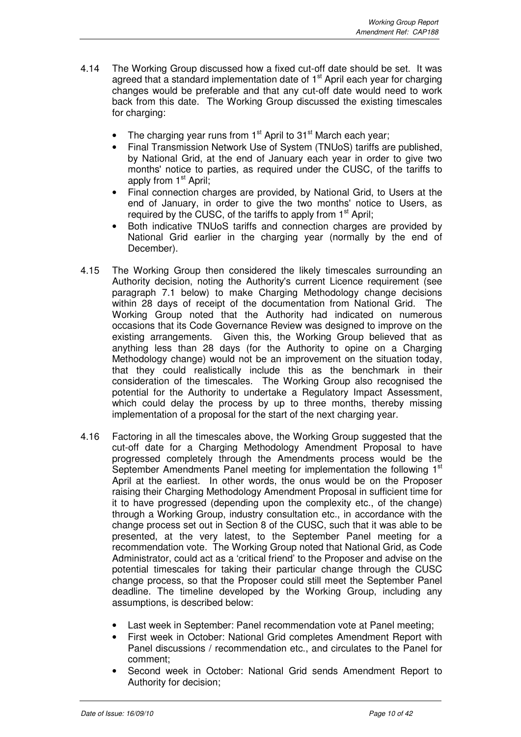- 4.14 The Working Group discussed how a fixed cut-off date should be set. It was agreed that a standard implementation date of  $1<sup>st</sup>$  April each year for charging changes would be preferable and that any cut-off date would need to work back from this date. The Working Group discussed the existing timescales for charging:
	- The charging year runs from  $1<sup>st</sup>$  April to  $31<sup>st</sup>$  March each year;
	- Final Transmission Network Use of System (TNUoS) tariffs are published, by National Grid, at the end of January each year in order to give two months' notice to parties, as required under the CUSC, of the tariffs to apply from  $1<sup>st</sup>$  April;
	- Final connection charges are provided, by National Grid, to Users at the end of January, in order to give the two months' notice to Users, as required by the CUSC, of the tariffs to apply from 1<sup>st</sup> April;
	- Both indicative TNUoS tariffs and connection charges are provided by National Grid earlier in the charging year (normally by the end of December).
- 4.15 The Working Group then considered the likely timescales surrounding an Authority decision, noting the Authority's current Licence requirement (see paragraph 7.1 below) to make Charging Methodology change decisions within 28 days of receipt of the documentation from National Grid. The Working Group noted that the Authority had indicated on numerous occasions that its Code Governance Review was designed to improve on the existing arrangements. Given this, the Working Group believed that as anything less than 28 days (for the Authority to opine on a Charging Methodology change) would not be an improvement on the situation today, that they could realistically include this as the benchmark in their consideration of the timescales. The Working Group also recognised the potential for the Authority to undertake a Regulatory Impact Assessment, which could delay the process by up to three months, thereby missing implementation of a proposal for the start of the next charging year.
- 4.16 Factoring in all the timescales above, the Working Group suggested that the cut-off date for a Charging Methodology Amendment Proposal to have progressed completely through the Amendments process would be the September Amendments Panel meeting for implementation the following 1<sup>st</sup> April at the earliest. In other words, the onus would be on the Proposer raising their Charging Methodology Amendment Proposal in sufficient time for it to have progressed (depending upon the complexity etc., of the change) through a Working Group, industry consultation etc., in accordance with the change process set out in Section 8 of the CUSC, such that it was able to be presented, at the very latest, to the September Panel meeting for a recommendation vote. The Working Group noted that National Grid, as Code Administrator, could act as a 'critical friend' to the Proposer and advise on the potential timescales for taking their particular change through the CUSC change process, so that the Proposer could still meet the September Panel deadline. The timeline developed by the Working Group, including any assumptions, is described below:
	- Last week in September: Panel recommendation vote at Panel meeting;
	- First week in October: National Grid completes Amendment Report with Panel discussions / recommendation etc., and circulates to the Panel for comment;
	- Second week in October: National Grid sends Amendment Report to Authority for decision;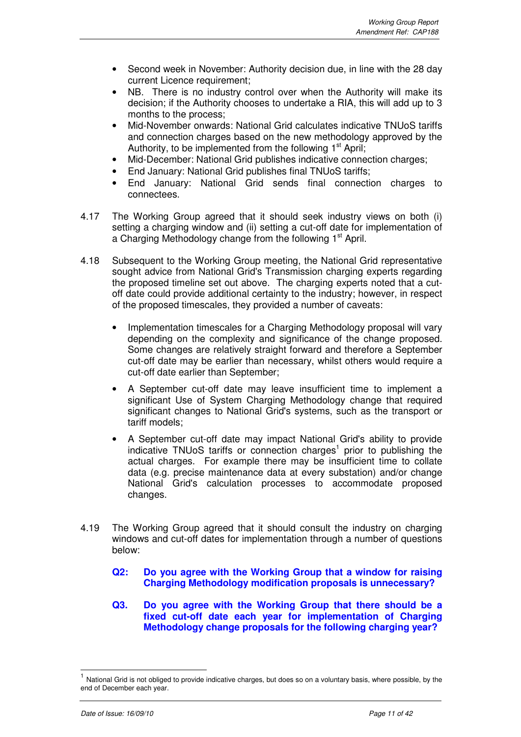- Second week in November: Authority decision due, in line with the 28 day current Licence requirement;
- NB. There is no industry control over when the Authority will make its decision; if the Authority chooses to undertake a RIA, this will add up to 3 months to the process;
- Mid-November onwards: National Grid calculates indicative TNUoS tariffs and connection charges based on the new methodology approved by the Authority, to be implemented from the following 1<sup>st</sup> April;
- Mid-December: National Grid publishes indicative connection charges;
- End January: National Grid publishes final TNUoS tariffs;
- End January: National Grid sends final connection charges to connectees.
- 4.17 The Working Group agreed that it should seek industry views on both (i) setting a charging window and (ii) setting a cut-off date for implementation of a Charging Methodology change from the following 1<sup>st</sup> April.
- 4.18 Subsequent to the Working Group meeting, the National Grid representative sought advice from National Grid's Transmission charging experts regarding the proposed timeline set out above. The charging experts noted that a cutoff date could provide additional certainty to the industry; however, in respect of the proposed timescales, they provided a number of caveats:
	- Implementation timescales for a Charging Methodology proposal will vary depending on the complexity and significance of the change proposed. Some changes are relatively straight forward and therefore a September cut-off date may be earlier than necessary, whilst others would require a cut-off date earlier than September;
	- A September cut-off date may leave insufficient time to implement a significant Use of System Charging Methodology change that required significant changes to National Grid's systems, such as the transport or tariff models;
	- A September cut-off date may impact National Grid's ability to provide indicative TNUoS tariffs or connection charges<sup>1</sup> prior to publishing the actual charges. For example there may be insufficient time to collate data (e.g. precise maintenance data at every substation) and/or change National Grid's calculation processes to accommodate proposed changes.
- 4.19 The Working Group agreed that it should consult the industry on charging windows and cut-off dates for implementation through a number of questions below:
	- **Q2: Do you agree with the Working Group that a window for raising Charging Methodology modification proposals is unnecessary?**
	- **Q3. Do you agree with the Working Group that there should be a fixed cut-off date each year for implementation of Charging Methodology change proposals for the following charging year?**

 $\overline{a}$ 

<sup>1</sup> National Grid is not obliged to provide indicative charges, but does so on a voluntary basis, where possible, by the end of December each year.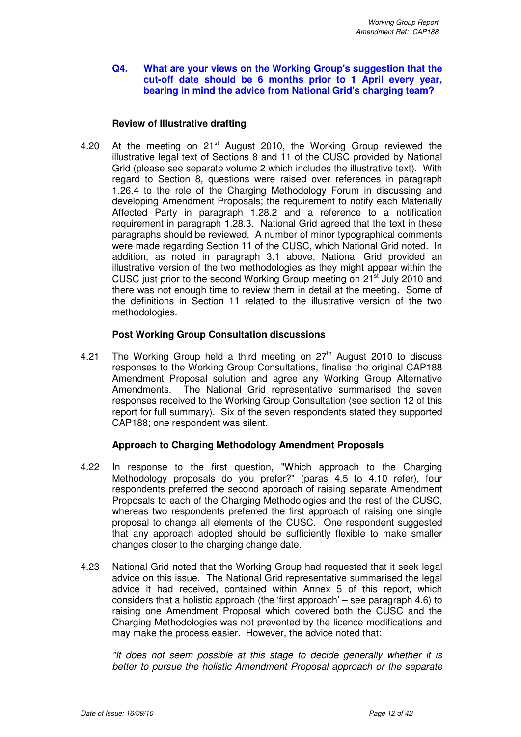#### **Q4. What are your views on the Working Group's suggestion that the cut-off date should be 6 months prior to 1 April every year, bearing in mind the advice from National Grid's charging team?**

#### **Review of Illustrative drafting**

4.20 At the meeting on 21<sup>st</sup> August 2010, the Working Group reviewed the illustrative legal text of Sections 8 and 11 of the CUSC provided by National Grid (please see separate volume 2 which includes the illustrative text). With regard to Section 8, questions were raised over references in paragraph 1.26.4 to the role of the Charging Methodology Forum in discussing and developing Amendment Proposals; the requirement to notify each Materially Affected Party in paragraph 1.28.2 and a reference to a notification requirement in paragraph 1.28.3. National Grid agreed that the text in these paragraphs should be reviewed. A number of minor typographical comments were made regarding Section 11 of the CUSC, which National Grid noted. In addition, as noted in paragraph 3.1 above, National Grid provided an illustrative version of the two methodologies as they might appear within the CUSC just prior to the second Working Group meeting on 21<sup>st</sup> July 2010 and there was not enough time to review them in detail at the meeting. Some of the definitions in Section 11 related to the illustrative version of the two methodologies.

#### **Post Working Group Consultation discussions**

4.21 The Working Group held a third meeting on  $27<sup>th</sup>$  August 2010 to discuss responses to the Working Group Consultations, finalise the original CAP188 Amendment Proposal solution and agree any Working Group Alternative Amendments. The National Grid representative summarised the seven responses received to the Working Group Consultation (see section 12 of this report for full summary). Six of the seven respondents stated they supported CAP188; one respondent was silent.

#### **Approach to Charging Methodology Amendment Proposals**

- 4.22 In response to the first question, "Which approach to the Charging Methodology proposals do you prefer?" (paras 4.5 to 4.10 refer), four respondents preferred the second approach of raising separate Amendment Proposals to each of the Charging Methodologies and the rest of the CUSC, whereas two respondents preferred the first approach of raising one single proposal to change all elements of the CUSC. One respondent suggested that any approach adopted should be sufficiently flexible to make smaller changes closer to the charging change date.
- 4.23 National Grid noted that the Working Group had requested that it seek legal advice on this issue. The National Grid representative summarised the legal advice it had received, contained within Annex 5 of this report, which considers that a holistic approach (the 'first approach' – see paragraph 4.6) to raising one Amendment Proposal which covered both the CUSC and the Charging Methodologies was not prevented by the licence modifications and may make the process easier. However, the advice noted that:

"It does not seem possible at this stage to decide generally whether it is better to pursue the holistic Amendment Proposal approach or the separate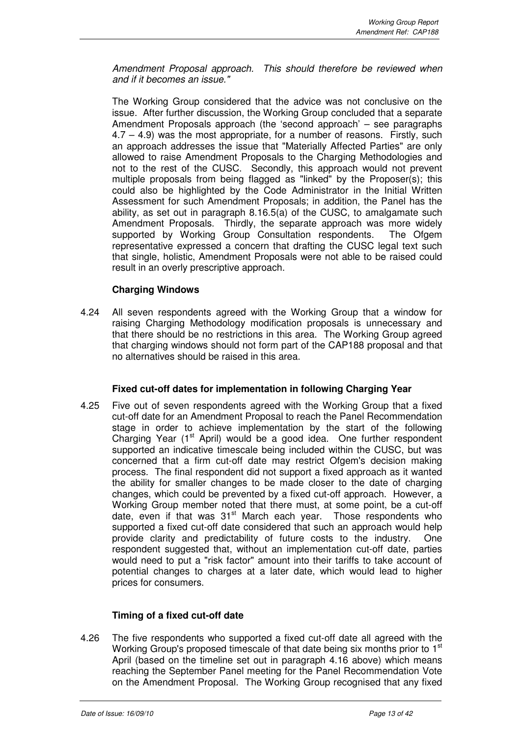Amendment Proposal approach. This should therefore be reviewed when and if it becomes an issue."

The Working Group considered that the advice was not conclusive on the issue. After further discussion, the Working Group concluded that a separate Amendment Proposals approach (the 'second approach' – see paragraphs 4.7 – 4.9) was the most appropriate, for a number of reasons. Firstly, such an approach addresses the issue that "Materially Affected Parties" are only allowed to raise Amendment Proposals to the Charging Methodologies and not to the rest of the CUSC. Secondly, this approach would not prevent multiple proposals from being flagged as "linked" by the Proposer(s); this could also be highlighted by the Code Administrator in the Initial Written Assessment for such Amendment Proposals; in addition, the Panel has the ability, as set out in paragraph 8.16.5(a) of the CUSC, to amalgamate such Amendment Proposals. Thirdly, the separate approach was more widely supported by Working Group Consultation respondents. The Ofgem representative expressed a concern that drafting the CUSC legal text such that single, holistic, Amendment Proposals were not able to be raised could result in an overly prescriptive approach.

## **Charging Windows**

4.24 All seven respondents agreed with the Working Group that a window for raising Charging Methodology modification proposals is unnecessary and that there should be no restrictions in this area. The Working Group agreed that charging windows should not form part of the CAP188 proposal and that no alternatives should be raised in this area.

#### **Fixed cut-off dates for implementation in following Charging Year**

4.25 Five out of seven respondents agreed with the Working Group that a fixed cut-off date for an Amendment Proposal to reach the Panel Recommendation stage in order to achieve implementation by the start of the following Charging Year (1<sup>st</sup> April) would be a good idea. One further respondent supported an indicative timescale being included within the CUSC, but was concerned that a firm cut-off date may restrict Ofgem's decision making process. The final respondent did not support a fixed approach as it wanted the ability for smaller changes to be made closer to the date of charging changes, which could be prevented by a fixed cut-off approach. However, a Working Group member noted that there must, at some point, be a cut-off date, even if that was 31<sup>st</sup> March each year. Those respondents who supported a fixed cut-off date considered that such an approach would help provide clarity and predictability of future costs to the industry. One respondent suggested that, without an implementation cut-off date, parties would need to put a "risk factor" amount into their tariffs to take account of potential changes to charges at a later date, which would lead to higher prices for consumers.

#### **Timing of a fixed cut-off date**

4.26 The five respondents who supported a fixed cut-off date all agreed with the Working Group's proposed timescale of that date being six months prior to 1<sup>st</sup> April (based on the timeline set out in paragraph 4.16 above) which means reaching the September Panel meeting for the Panel Recommendation Vote on the Amendment Proposal. The Working Group recognised that any fixed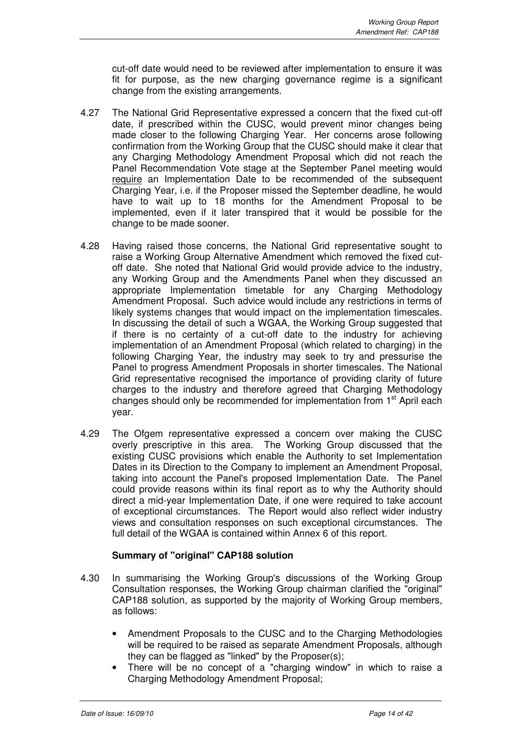cut-off date would need to be reviewed after implementation to ensure it was fit for purpose, as the new charging governance regime is a significant change from the existing arrangements.

- 4.27 The National Grid Representative expressed a concern that the fixed cut-off date, if prescribed within the CUSC, would prevent minor changes being made closer to the following Charging Year. Her concerns arose following confirmation from the Working Group that the CUSC should make it clear that any Charging Methodology Amendment Proposal which did not reach the Panel Recommendation Vote stage at the September Panel meeting would require an Implementation Date to be recommended of the subsequent Charging Year, i.e. if the Proposer missed the September deadline, he would have to wait up to 18 months for the Amendment Proposal to be implemented, even if it later transpired that it would be possible for the change to be made sooner.
- 4.28 Having raised those concerns, the National Grid representative sought to raise a Working Group Alternative Amendment which removed the fixed cutoff date. She noted that National Grid would provide advice to the industry, any Working Group and the Amendments Panel when they discussed an appropriate Implementation timetable for any Charging Methodology Amendment Proposal. Such advice would include any restrictions in terms of likely systems changes that would impact on the implementation timescales. In discussing the detail of such a WGAA, the Working Group suggested that if there is no certainty of a cut-off date to the industry for achieving implementation of an Amendment Proposal (which related to charging) in the following Charging Year, the industry may seek to try and pressurise the Panel to progress Amendment Proposals in shorter timescales. The National Grid representative recognised the importance of providing clarity of future charges to the industry and therefore agreed that Charging Methodology changes should only be recommended for implementation from 1<sup>st</sup> April each year.
- 4.29 The Ofgem representative expressed a concern over making the CUSC overly prescriptive in this area. The Working Group discussed that the existing CUSC provisions which enable the Authority to set Implementation Dates in its Direction to the Company to implement an Amendment Proposal, taking into account the Panel's proposed Implementation Date. The Panel could provide reasons within its final report as to why the Authority should direct a mid-year Implementation Date, if one were required to take account of exceptional circumstances. The Report would also reflect wider industry views and consultation responses on such exceptional circumstances. The full detail of the WGAA is contained within Annex 6 of this report.

#### **Summary of "original" CAP188 solution**

- 4.30 In summarising the Working Group's discussions of the Working Group Consultation responses, the Working Group chairman clarified the "original" CAP188 solution, as supported by the majority of Working Group members, as follows:
	- Amendment Proposals to the CUSC and to the Charging Methodologies will be required to be raised as separate Amendment Proposals, although they can be flagged as "linked" by the Proposer(s);
	- There will be no concept of a "charging window" in which to raise a Charging Methodology Amendment Proposal;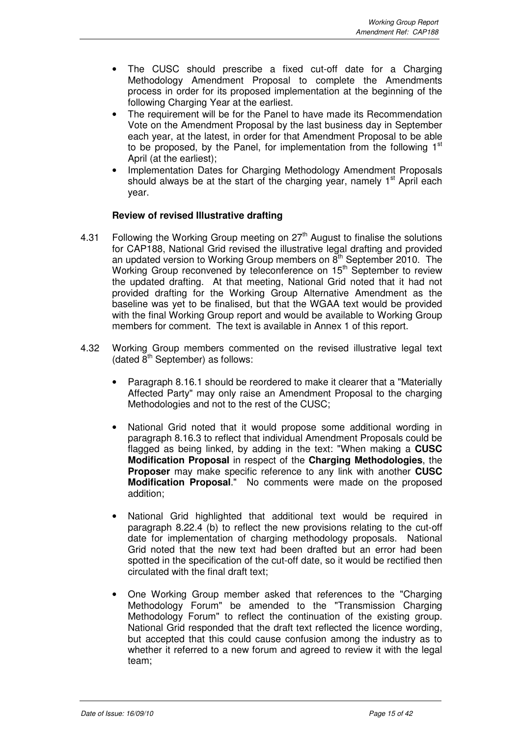- The CUSC should prescribe a fixed cut-off date for a Charging Methodology Amendment Proposal to complete the Amendments process in order for its proposed implementation at the beginning of the following Charging Year at the earliest.
- The requirement will be for the Panel to have made its Recommendation Vote on the Amendment Proposal by the last business day in September each year, at the latest, in order for that Amendment Proposal to be able to be proposed, by the Panel, for implementation from the following  $1<sup>st</sup>$ April (at the earliest);
- Implementation Dates for Charging Methodology Amendment Proposals should always be at the start of the charging year, namely  $1<sup>st</sup>$  April each year.

#### **Review of revised Illustrative drafting**

- 4.31 Following the Working Group meeting on  $27<sup>th</sup>$  August to finalise the solutions for CAP188, National Grid revised the illustrative legal drafting and provided an updated version to Working Group members on  $8<sup>th</sup>$  September 2010. The Working Group reconvened by teleconference on 15<sup>th</sup> September to review the updated drafting. At that meeting, National Grid noted that it had not provided drafting for the Working Group Alternative Amendment as the baseline was yet to be finalised, but that the WGAA text would be provided with the final Working Group report and would be available to Working Group members for comment. The text is available in Annex 1 of this report.
- 4.32 Working Group members commented on the revised illustrative legal text (dated  $8<sup>th</sup>$  September) as follows:
	- Paragraph 8.16.1 should be reordered to make it clearer that a "Materially Affected Party" may only raise an Amendment Proposal to the charging Methodologies and not to the rest of the CUSC;
	- National Grid noted that it would propose some additional wording in paragraph 8.16.3 to reflect that individual Amendment Proposals could be flagged as being linked, by adding in the text: "When making a **CUSC Modification Proposal** in respect of the **Charging Methodologies**, the **Proposer** may make specific reference to any link with another **CUSC Modification Proposal**." No comments were made on the proposed addition;
	- National Grid highlighted that additional text would be required in paragraph 8.22.4 (b) to reflect the new provisions relating to the cut-off date for implementation of charging methodology proposals. National Grid noted that the new text had been drafted but an error had been spotted in the specification of the cut-off date, so it would be rectified then circulated with the final draft text;
	- One Working Group member asked that references to the "Charging Methodology Forum" be amended to the "Transmission Charging Methodology Forum" to reflect the continuation of the existing group. National Grid responded that the draft text reflected the licence wording, but accepted that this could cause confusion among the industry as to whether it referred to a new forum and agreed to review it with the legal team;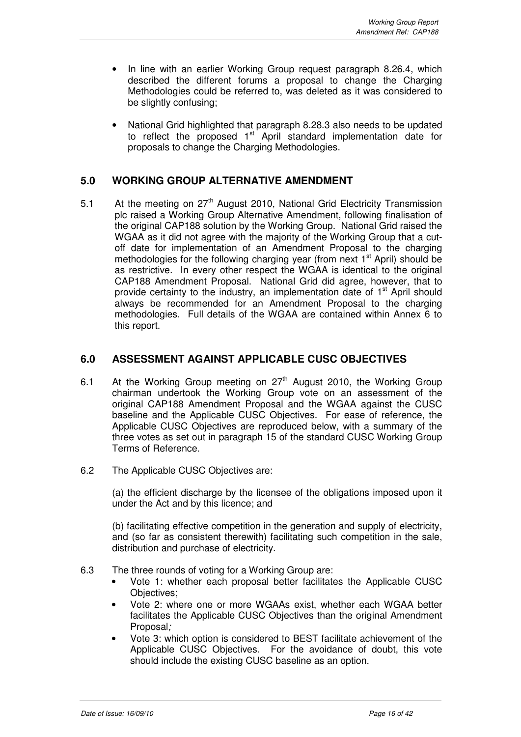- In line with an earlier Working Group request paragraph 8.26.4, which described the different forums a proposal to change the Charging Methodologies could be referred to, was deleted as it was considered to be slightly confusing;
- National Grid highlighted that paragraph 8.28.3 also needs to be updated to reflect the proposed  $1<sup>st</sup>$  April standard implementation date for proposals to change the Charging Methodologies.

## **5.0 WORKING GROUP ALTERNATIVE AMENDMENT**

5.1 At the meeting on 27<sup>th</sup> August 2010, National Grid Electricity Transmission plc raised a Working Group Alternative Amendment, following finalisation of the original CAP188 solution by the Working Group. National Grid raised the WGAA as it did not agree with the majority of the Working Group that a cutoff date for implementation of an Amendment Proposal to the charging methodologies for the following charging year (from next  $1<sup>st</sup>$  April) should be as restrictive. In every other respect the WGAA is identical to the original CAP188 Amendment Proposal. National Grid did agree, however, that to provide certainty to the industry, an implementation date of  $1<sup>st</sup>$  April should always be recommended for an Amendment Proposal to the charging methodologies. Full details of the WGAA are contained within Annex 6 to this report.

## **6.0 ASSESSMENT AGAINST APPLICABLE CUSC OBJECTIVES**

- 6.1 At the Working Group meeting on  $27<sup>th</sup>$  August 2010, the Working Group chairman undertook the Working Group vote on an assessment of the original CAP188 Amendment Proposal and the WGAA against the CUSC baseline and the Applicable CUSC Objectives. For ease of reference, the Applicable CUSC Objectives are reproduced below, with a summary of the three votes as set out in paragraph 15 of the standard CUSC Working Group Terms of Reference.
- 6.2 The Applicable CUSC Objectives are:

(a) the efficient discharge by the licensee of the obligations imposed upon it under the Act and by this licence; and

(b) facilitating effective competition in the generation and supply of electricity, and (so far as consistent therewith) facilitating such competition in the sale, distribution and purchase of electricity.

- 6.3 The three rounds of voting for a Working Group are:
	- Vote 1: whether each proposal better facilitates the Applicable CUSC Objectives;
	- Vote 2: where one or more WGAAs exist, whether each WGAA better facilitates the Applicable CUSC Objectives than the original Amendment Proposal;
	- Vote 3: which option is considered to BEST facilitate achievement of the Applicable CUSC Objectives. For the avoidance of doubt, this vote should include the existing CUSC baseline as an option.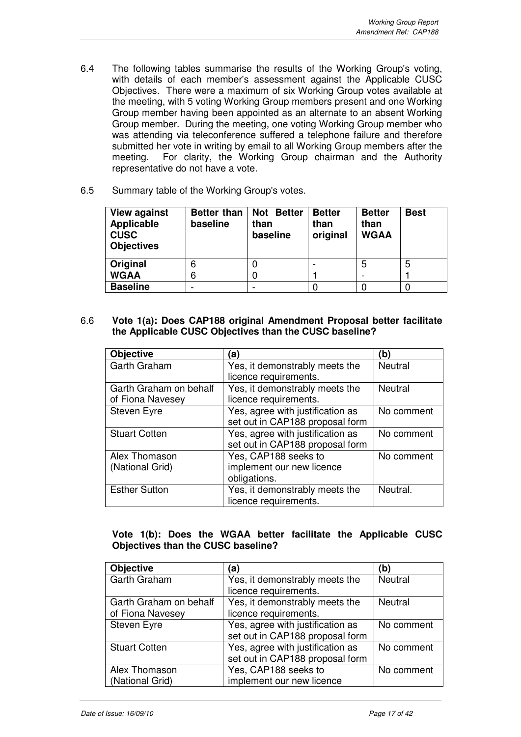- 6.4 The following tables summarise the results of the Working Group's voting, with details of each member's assessment against the Applicable CUSC Objectives. There were a maximum of six Working Group votes available at the meeting, with 5 voting Working Group members present and one Working Group member having been appointed as an alternate to an absent Working Group member. During the meeting, one voting Working Group member who was attending via teleconference suffered a telephone failure and therefore submitted her vote in writing by email to all Working Group members after the meeting. For clarity, the Working Group chairman and the Authority representative do not have a vote.
- 6.5 Summary table of the Working Group's votes.

| <b>View against</b><br>Applicable<br><b>CUSC</b><br><b>Objectives</b> | Better than<br>baseline | Not Better<br>than<br>baseline | <b>Better</b><br>than<br>original | <b>Better</b><br>than<br><b>WGAA</b> | <b>Best</b> |
|-----------------------------------------------------------------------|-------------------------|--------------------------------|-----------------------------------|--------------------------------------|-------------|
| <b>Original</b>                                                       |                         |                                |                                   | 5                                    | 5           |
| <b>WGAA</b>                                                           | 6                       |                                |                                   |                                      |             |
| <b>Baseline</b>                                                       |                         |                                |                                   |                                      |             |

6.6 **Vote 1(a): Does CAP188 original Amendment Proposal better facilitate the Applicable CUSC Objectives than the CUSC baseline?**

| <b>Objective</b>       | (a)                              | (b)            |
|------------------------|----------------------------------|----------------|
| Garth Graham           | Yes, it demonstrably meets the   | <b>Neutral</b> |
|                        | licence requirements.            |                |
| Garth Graham on behalf | Yes, it demonstrably meets the   | <b>Neutral</b> |
| of Fiona Navesey       | licence requirements.            |                |
| Steven Eyre            | Yes, agree with justification as | No comment     |
|                        | set out in CAP188 proposal form  |                |
| <b>Stuart Cotten</b>   | Yes, agree with justification as | No comment     |
|                        | set out in CAP188 proposal form  |                |
| Alex Thomason          | Yes, CAP188 seeks to             | No comment     |
| (National Grid)        | implement our new licence        |                |
|                        | obligations.                     |                |
| <b>Esther Sutton</b>   | Yes, it demonstrably meets the   | Neutral.       |
|                        | licence requirements.            |                |

## **Vote 1(b): Does the WGAA better facilitate the Applicable CUSC Objectives than the CUSC baseline?**

| <b>Objective</b>       | ัa                               | (b)            |
|------------------------|----------------------------------|----------------|
| Garth Graham           | Yes, it demonstrably meets the   | Neutral        |
|                        | licence requirements.            |                |
| Garth Graham on behalf | Yes, it demonstrably meets the   | <b>Neutral</b> |
| of Fiona Navesey       | licence requirements.            |                |
| <b>Steven Eyre</b>     | Yes, agree with justification as | No comment     |
|                        | set out in CAP188 proposal form  |                |
| <b>Stuart Cotten</b>   | Yes, agree with justification as | No comment     |
|                        | set out in CAP188 proposal form  |                |
| Alex Thomason          | Yes, CAP188 seeks to             | No comment     |
| (National Grid)        | implement our new licence        |                |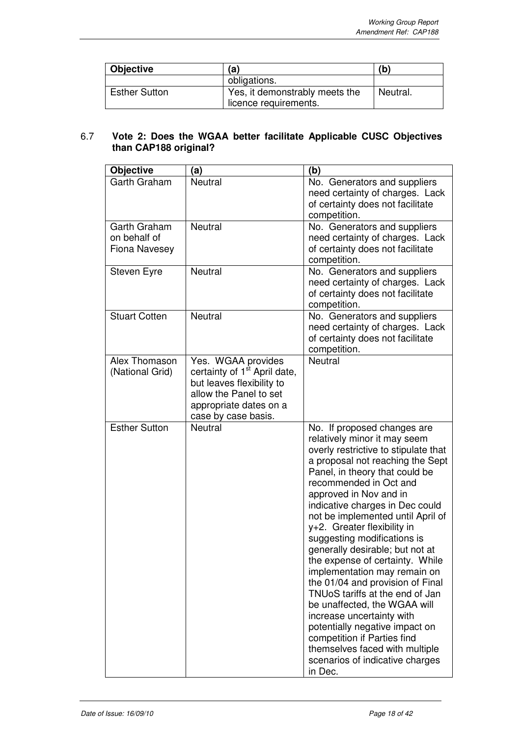| <b>Objective</b>     | (a)                                                     | (b)      |
|----------------------|---------------------------------------------------------|----------|
|                      | obligations.                                            |          |
| <b>Esther Sutton</b> | Yes, it demonstrably meets the<br>licence requirements. | Neutral. |

#### 6.7 **Vote 2: Does the WGAA better facilitate Applicable CUSC Objectives than CAP188 original?**

| <b>Objective</b>                                     | (a)                                                                                                                                                                    | (b)                                                                                                                                                                                                                                                                                                                                                                                                                                                                                                                                                                                                                                                                                                                                                            |
|------------------------------------------------------|------------------------------------------------------------------------------------------------------------------------------------------------------------------------|----------------------------------------------------------------------------------------------------------------------------------------------------------------------------------------------------------------------------------------------------------------------------------------------------------------------------------------------------------------------------------------------------------------------------------------------------------------------------------------------------------------------------------------------------------------------------------------------------------------------------------------------------------------------------------------------------------------------------------------------------------------|
| Garth Graham                                         | Neutral                                                                                                                                                                | No. Generators and suppliers<br>need certainty of charges. Lack<br>of certainty does not facilitate<br>competition.                                                                                                                                                                                                                                                                                                                                                                                                                                                                                                                                                                                                                                            |
| Garth Graham<br>on behalf of<br><b>Fiona Navesey</b> | <b>Neutral</b>                                                                                                                                                         | No. Generators and suppliers<br>need certainty of charges. Lack<br>of certainty does not facilitate<br>competition.                                                                                                                                                                                                                                                                                                                                                                                                                                                                                                                                                                                                                                            |
| Steven Eyre                                          | <b>Neutral</b>                                                                                                                                                         | No. Generators and suppliers<br>need certainty of charges. Lack<br>of certainty does not facilitate<br>competition.                                                                                                                                                                                                                                                                                                                                                                                                                                                                                                                                                                                                                                            |
| <b>Stuart Cotten</b>                                 | <b>Neutral</b>                                                                                                                                                         | No. Generators and suppliers<br>need certainty of charges. Lack<br>of certainty does not facilitate<br>competition.                                                                                                                                                                                                                                                                                                                                                                                                                                                                                                                                                                                                                                            |
| <b>Alex Thomason</b><br>(National Grid)              | Yes. WGAA provides<br>certainty of 1 <sup>st</sup> April date,<br>but leaves flexibility to<br>allow the Panel to set<br>appropriate dates on a<br>case by case basis. | <b>Neutral</b>                                                                                                                                                                                                                                                                                                                                                                                                                                                                                                                                                                                                                                                                                                                                                 |
| <b>Esther Sutton</b>                                 | <b>Neutral</b>                                                                                                                                                         | No. If proposed changes are<br>relatively minor it may seem<br>overly restrictive to stipulate that<br>a proposal not reaching the Sept<br>Panel, in theory that could be<br>recommended in Oct and<br>approved in Nov and in<br>indicative charges in Dec could<br>not be implemented until April of<br>y+2. Greater flexibility in<br>suggesting modifications is<br>generally desirable; but not at<br>the expense of certainty. While<br>implementation may remain on<br>the 01/04 and provision of Final<br>TNUoS tariffs at the end of Jan<br>be unaffected, the WGAA will<br>increase uncertainty with<br>potentially negative impact on<br>competition if Parties find<br>themselves faced with multiple<br>scenarios of indicative charges<br>in Dec. |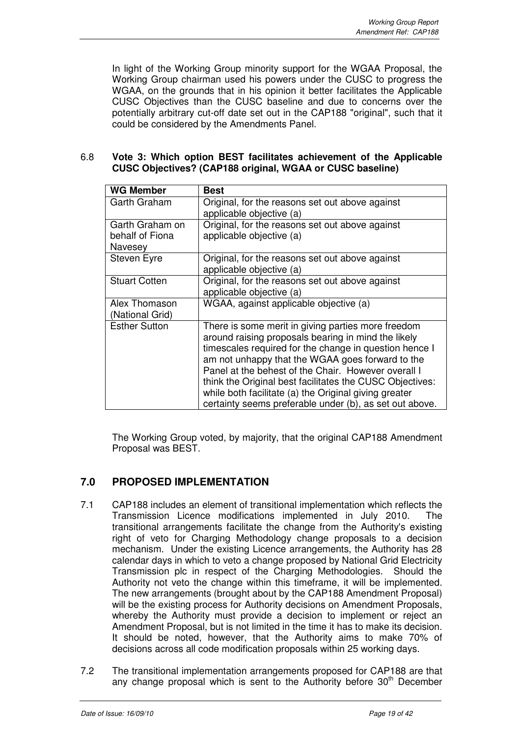In light of the Working Group minority support for the WGAA Proposal, the Working Group chairman used his powers under the CUSC to progress the WGAA, on the grounds that in his opinion it better facilitates the Applicable CUSC Objectives than the CUSC baseline and due to concerns over the potentially arbitrary cut-off date set out in the CAP188 "original", such that it could be considered by the Amendments Panel.

#### 6.8 **Vote 3: Which option BEST facilitates achievement of the Applicable CUSC Objectives? (CAP188 original, WGAA or CUSC baseline)**

| <b>WG Member</b>                              | Best                                                                                                                                                                                                                                                                                                                                                                                                                                                           |
|-----------------------------------------------|----------------------------------------------------------------------------------------------------------------------------------------------------------------------------------------------------------------------------------------------------------------------------------------------------------------------------------------------------------------------------------------------------------------------------------------------------------------|
| Garth Graham                                  | Original, for the reasons set out above against<br>applicable objective (a)                                                                                                                                                                                                                                                                                                                                                                                    |
| Garth Graham on<br>behalf of Fiona<br>Navesey | Original, for the reasons set out above against<br>applicable objective (a)                                                                                                                                                                                                                                                                                                                                                                                    |
| Steven Eyre                                   | Original, for the reasons set out above against<br>applicable objective (a)                                                                                                                                                                                                                                                                                                                                                                                    |
| <b>Stuart Cotten</b>                          | Original, for the reasons set out above against<br>applicable objective (a)                                                                                                                                                                                                                                                                                                                                                                                    |
| Alex Thomason<br>(National Grid)              | WGAA, against applicable objective (a)                                                                                                                                                                                                                                                                                                                                                                                                                         |
| <b>Esther Sutton</b>                          | There is some merit in giving parties more freedom<br>around raising proposals bearing in mind the likely<br>timescales required for the change in question hence I<br>am not unhappy that the WGAA goes forward to the<br>Panel at the behest of the Chair. However overall I<br>think the Original best facilitates the CUSC Objectives:<br>while both facilitate (a) the Original giving greater<br>certainty seems preferable under (b), as set out above. |

The Working Group voted, by majority, that the original CAP188 Amendment Proposal was BEST.

## **7.0 PROPOSED IMPLEMENTATION**

- 7.1 CAP188 includes an element of transitional implementation which reflects the Transmission Licence modifications implemented in July 2010. The transitional arrangements facilitate the change from the Authority's existing right of veto for Charging Methodology change proposals to a decision mechanism. Under the existing Licence arrangements, the Authority has 28 calendar days in which to veto a change proposed by National Grid Electricity Transmission plc in respect of the Charging Methodologies. Should the Authority not veto the change within this timeframe, it will be implemented. The new arrangements (brought about by the CAP188 Amendment Proposal) will be the existing process for Authority decisions on Amendment Proposals, whereby the Authority must provide a decision to implement or reject an Amendment Proposal, but is not limited in the time it has to make its decision. It should be noted, however, that the Authority aims to make 70% of decisions across all code modification proposals within 25 working days.
- 7.2 The transitional implementation arrangements proposed for CAP188 are that any change proposal which is sent to the Authority before  $30<sup>th</sup>$  December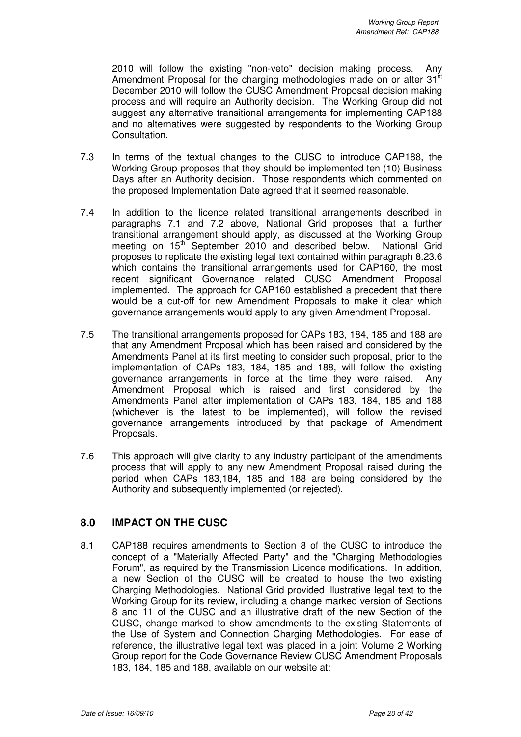2010 will follow the existing "non-veto" decision making process. Any Amendment Proposal for the charging methodologies made on or after  $31<sup>st</sup>$ December 2010 will follow the CUSC Amendment Proposal decision making process and will require an Authority decision. The Working Group did not suggest any alternative transitional arrangements for implementing CAP188 and no alternatives were suggested by respondents to the Working Group Consultation.

- 7.3 In terms of the textual changes to the CUSC to introduce CAP188, the Working Group proposes that they should be implemented ten (10) Business Days after an Authority decision. Those respondents which commented on the proposed Implementation Date agreed that it seemed reasonable.
- 7.4 In addition to the licence related transitional arrangements described in paragraphs 7.1 and 7.2 above, National Grid proposes that a further transitional arrangement should apply, as discussed at the Working Group meeting on 15<sup>th</sup> September 2010 and described below. National Grid proposes to replicate the existing legal text contained within paragraph 8.23.6 which contains the transitional arrangements used for CAP160, the most recent significant Governance related CUSC Amendment Proposal implemented. The approach for CAP160 established a precedent that there would be a cut-off for new Amendment Proposals to make it clear which governance arrangements would apply to any given Amendment Proposal.
- 7.5 The transitional arrangements proposed for CAPs 183, 184, 185 and 188 are that any Amendment Proposal which has been raised and considered by the Amendments Panel at its first meeting to consider such proposal, prior to the implementation of CAPs 183, 184, 185 and 188, will follow the existing governance arrangements in force at the time they were raised. Any Amendment Proposal which is raised and first considered by the Amendments Panel after implementation of CAPs 183, 184, 185 and 188 (whichever is the latest to be implemented), will follow the revised governance arrangements introduced by that package of Amendment Proposals.
- 7.6 This approach will give clarity to any industry participant of the amendments process that will apply to any new Amendment Proposal raised during the period when CAPs 183,184, 185 and 188 are being considered by the Authority and subsequently implemented (or rejected).

## **8.0 IMPACT ON THE CUSC**

8.1 CAP188 requires amendments to Section 8 of the CUSC to introduce the concept of a "Materially Affected Party" and the "Charging Methodologies Forum", as required by the Transmission Licence modifications. In addition, a new Section of the CUSC will be created to house the two existing Charging Methodologies. National Grid provided illustrative legal text to the Working Group for its review, including a change marked version of Sections 8 and 11 of the CUSC and an illustrative draft of the new Section of the CUSC, change marked to show amendments to the existing Statements of the Use of System and Connection Charging Methodologies. For ease of reference, the illustrative legal text was placed in a joint Volume 2 Working Group report for the Code Governance Review CUSC Amendment Proposals 183, 184, 185 and 188, available on our website at: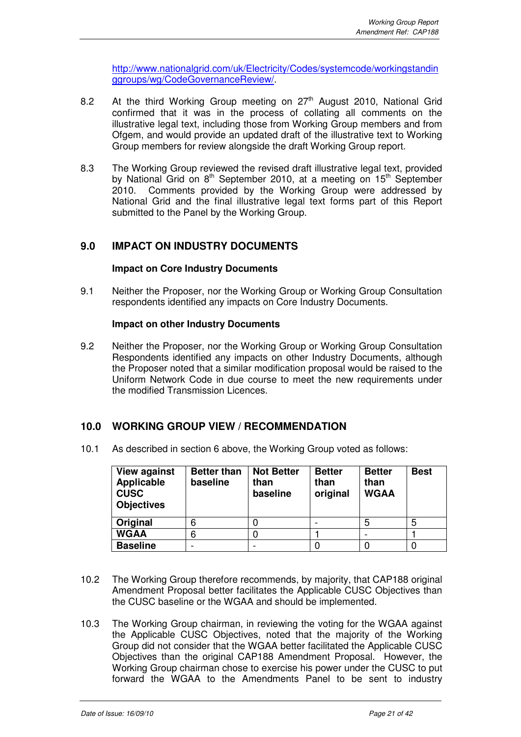http://www.nationalgrid.com/uk/Electricity/Codes/systemcode/workingstandin ggroups/wg/CodeGovernanceReview/.

- 8.2 At the third Working Group meeting on 27<sup>th</sup> August 2010, National Grid confirmed that it was in the process of collating all comments on the illustrative legal text, including those from Working Group members and from Ofgem, and would provide an updated draft of the illustrative text to Working Group members for review alongside the draft Working Group report.
- 8.3 The Working Group reviewed the revised draft illustrative legal text, provided by National Grid on 8<sup>th</sup> September 2010, at a meeting on 15<sup>th</sup> September 2010. Comments provided by the Working Group were addressed by National Grid and the final illustrative legal text forms part of this Report submitted to the Panel by the Working Group.

## **9.0 IMPACT ON INDUSTRY DOCUMENTS**

#### **Impact on Core Industry Documents**

9.1 Neither the Proposer, nor the Working Group or Working Group Consultation respondents identified any impacts on Core Industry Documents.

#### **Impact on other Industry Documents**

9.2 Neither the Proposer, nor the Working Group or Working Group Consultation Respondents identified any impacts on other Industry Documents, although the Proposer noted that a similar modification proposal would be raised to the Uniform Network Code in due course to meet the new requirements under the modified Transmission Licences.

## **10.0 WORKING GROUP VIEW / RECOMMENDATION**

10.1 As described in section 6 above, the Working Group voted as follows:

| <b>View against</b><br>Applicable<br><b>CUSC</b><br><b>Objectives</b> | <b>Better than</b><br>baseline | <b>Not Better</b><br>than<br>baseline | <b>Better</b><br>than<br>original | <b>Better</b><br>than<br><b>WGAA</b> | <b>Best</b> |
|-----------------------------------------------------------------------|--------------------------------|---------------------------------------|-----------------------------------|--------------------------------------|-------------|
| Original                                                              | 6                              |                                       |                                   | 5                                    | 5           |
| <b>WGAA</b>                                                           | 6                              |                                       |                                   |                                      |             |
| <b>Baseline</b>                                                       |                                |                                       |                                   |                                      |             |

- 10.2 The Working Group therefore recommends, by majority, that CAP188 original Amendment Proposal better facilitates the Applicable CUSC Objectives than the CUSC baseline or the WGAA and should be implemented.
- 10.3 The Working Group chairman, in reviewing the voting for the WGAA against the Applicable CUSC Objectives, noted that the majority of the Working Group did not consider that the WGAA better facilitated the Applicable CUSC Objectives than the original CAP188 Amendment Proposal. However, the Working Group chairman chose to exercise his power under the CUSC to put forward the WGAA to the Amendments Panel to be sent to industry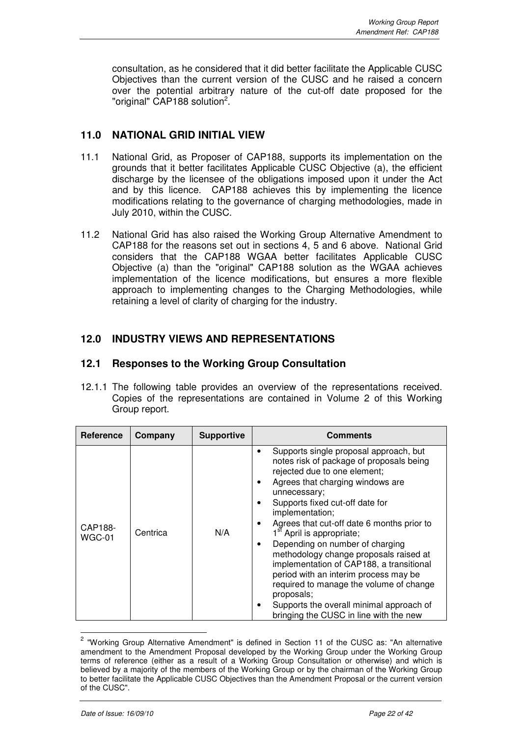consultation, as he considered that it did better facilitate the Applicable CUSC Objectives than the current version of the CUSC and he raised a concern over the potential arbitrary nature of the cut-off date proposed for the "original" CAP188 solution<sup>2</sup>.

## **11.0 NATIONAL GRID INITIAL VIEW**

- 11.1 National Grid, as Proposer of CAP188, supports its implementation on the grounds that it better facilitates Applicable CUSC Objective (a), the efficient discharge by the licensee of the obligations imposed upon it under the Act and by this licence. CAP188 achieves this by implementing the licence modifications relating to the governance of charging methodologies, made in July 2010, within the CUSC.
- 11.2 National Grid has also raised the Working Group Alternative Amendment to CAP188 for the reasons set out in sections 4, 5 and 6 above. National Grid considers that the CAP188 WGAA better facilitates Applicable CUSC Objective (a) than the "original" CAP188 solution as the WGAA achieves implementation of the licence modifications, but ensures a more flexible approach to implementing changes to the Charging Methodologies, while retaining a level of clarity of charging for the industry.

## **12.0 INDUSTRY VIEWS AND REPRESENTATIONS**

## **12.1 Responses to the Working Group Consultation**

12.1.1 The following table provides an overview of the representations received. Copies of the representations are contained in Volume 2 of this Working Group report.

| Reference         | Company  | <b>Supportive</b> | <b>Comments</b>                                                                                                                                                                                                                                                                                                                                                                                                                                                                                                                                                                                                                      |  |  |
|-------------------|----------|-------------------|--------------------------------------------------------------------------------------------------------------------------------------------------------------------------------------------------------------------------------------------------------------------------------------------------------------------------------------------------------------------------------------------------------------------------------------------------------------------------------------------------------------------------------------------------------------------------------------------------------------------------------------|--|--|
| CAP188-<br>WGC-01 | Centrica | N/A               | Supports single proposal approach, but<br>notes risk of package of proposals being<br>rejected due to one element;<br>Agrees that charging windows are<br>unnecessary;<br>Supports fixed cut-off date for<br>implementation;<br>Agrees that cut-off date 6 months prior to<br>1 <sup>st</sup> April is appropriate;<br>Depending on number of charging<br>methodology change proposals raised at<br>implementation of CAP188, a transitional<br>period with an interim process may be<br>required to manage the volume of change<br>proposals;<br>Supports the overall minimal approach of<br>bringing the CUSC in line with the new |  |  |

 2 "Working Group Alternative Amendment" is defined in Section 11 of the CUSC as: "An alternative amendment to the Amendment Proposal developed by the Working Group under the Working Group terms of reference (either as a result of a Working Group Consultation or otherwise) and which is believed by a majority of the members of the Working Group or by the chairman of the Working Group to better facilitate the Applicable CUSC Objectives than the Amendment Proposal or the current version of the CUSC".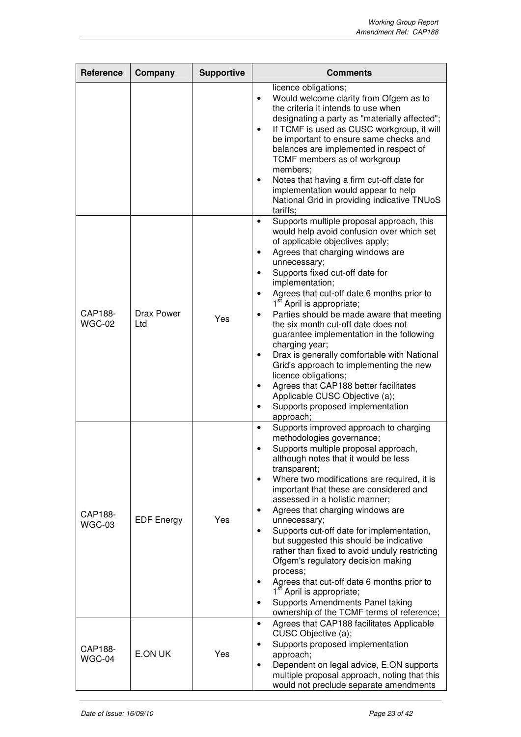| <b>Reference</b>  | Company                  | <b>Supportive</b> | <b>Comments</b>                                                                                                                                                                                                                                                                                                                                                                                                                                                                                                                                                                                                                                                                                                                                                      |  |  |
|-------------------|--------------------------|-------------------|----------------------------------------------------------------------------------------------------------------------------------------------------------------------------------------------------------------------------------------------------------------------------------------------------------------------------------------------------------------------------------------------------------------------------------------------------------------------------------------------------------------------------------------------------------------------------------------------------------------------------------------------------------------------------------------------------------------------------------------------------------------------|--|--|
|                   |                          |                   | licence obligations;<br>Would welcome clarity from Ofgem as to<br>$\bullet$<br>the criteria it intends to use when<br>designating a party as "materially affected";<br>If TCMF is used as CUSC workgroup, it will<br>$\bullet$<br>be important to ensure same checks and<br>balances are implemented in respect of<br>TCMF members as of workgroup<br>members;<br>Notes that having a firm cut-off date for<br>$\bullet$<br>implementation would appear to help<br>National Grid in providing indicative TNUoS<br>tariffs;                                                                                                                                                                                                                                           |  |  |
| CAP188-<br>WGC-02 | <b>Drax Power</b><br>Ltd | Yes               | Supports multiple proposal approach, this<br>$\bullet$<br>would help avoid confusion over which set<br>of applicable objectives apply;<br>Agrees that charging windows are<br>٠<br>unnecessary;<br>Supports fixed cut-off date for<br>implementation;<br>Agrees that cut-off date 6 months prior to<br>1 <sup>st</sup> April is appropriate;<br>Parties should be made aware that meeting<br>the six month cut-off date does not<br>guarantee implementation in the following<br>charging year;<br>Drax is generally comfortable with National<br>٠<br>Grid's approach to implementing the new<br>licence obligations;<br>Agrees that CAP188 better facilitates<br>٠<br>Applicable CUSC Objective (a);<br>Supports proposed implementation<br>$\bullet$<br>approach; |  |  |
| CAP188-<br>WGC-03 | <b>EDF Energy</b>        | Yes               | Supports improved approach to charging<br>$\bullet$<br>methodologies governance;<br>Supports multiple proposal approach,<br>although notes that it would be less<br>transparent;<br>Where two modifications are required, it is<br>$\bullet$<br>important that these are considered and<br>assessed in a holistic manner;<br>Agrees that charging windows are<br>٠<br>unnecessary;<br>Supports cut-off date for implementation,<br>$\bullet$<br>but suggested this should be indicative<br>rather than fixed to avoid unduly restricting<br>Ofgem's regulatory decision making<br>process;<br>Agrees that cut-off date 6 months prior to<br>1 <sup>st</sup> April is appropriate;<br>Supports Amendments Panel taking<br>ownership of the TCMF terms of reference;   |  |  |
| CAP188-<br>WGC-04 | E.ON UK                  | Yes               | Agrees that CAP188 facilitates Applicable<br>$\bullet$<br>CUSC Objective (a);<br>Supports proposed implementation<br>approach;<br>Dependent on legal advice, E.ON supports<br>$\bullet$<br>multiple proposal approach, noting that this<br>would not preclude separate amendments                                                                                                                                                                                                                                                                                                                                                                                                                                                                                    |  |  |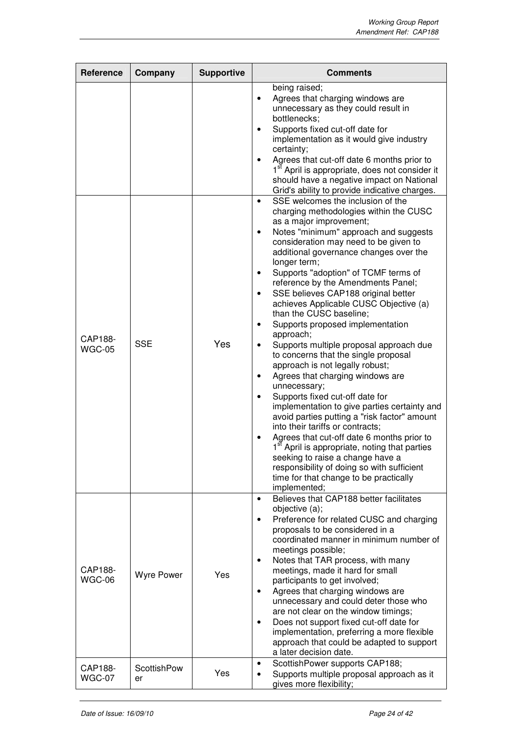| Reference                | Company                  | <b>Supportive</b> | <b>Comments</b>                                                                                                                                                                                                                                                                                                                                                                                                                                                                                                                                                                                                                                                                                                                                                                                                                                                                                                                                                                                                                                                                                                                                                          |  |  |
|--------------------------|--------------------------|-------------------|--------------------------------------------------------------------------------------------------------------------------------------------------------------------------------------------------------------------------------------------------------------------------------------------------------------------------------------------------------------------------------------------------------------------------------------------------------------------------------------------------------------------------------------------------------------------------------------------------------------------------------------------------------------------------------------------------------------------------------------------------------------------------------------------------------------------------------------------------------------------------------------------------------------------------------------------------------------------------------------------------------------------------------------------------------------------------------------------------------------------------------------------------------------------------|--|--|
|                          |                          |                   | being raised;<br>Agrees that charging windows are<br>unnecessary as they could result in<br>bottlenecks;<br>Supports fixed cut-off date for<br>implementation as it would give industry<br>certainty;<br>Agrees that cut-off date 6 months prior to<br>1 <sup>st</sup> April is appropriate, does not consider it<br>should have a negative impact on National<br>Grid's ability to provide indicative charges.                                                                                                                                                                                                                                                                                                                                                                                                                                                                                                                                                                                                                                                                                                                                                          |  |  |
| CAP188-<br><b>WGC-05</b> | <b>SSE</b>               | Yes               | SSE welcomes the inclusion of the<br>$\bullet$<br>charging methodologies within the CUSC<br>as a major improvement;<br>Notes "minimum" approach and suggests<br>$\bullet$<br>consideration may need to be given to<br>additional governance changes over the<br>longer term;<br>Supports "adoption" of TCMF terms of<br>٠<br>reference by the Amendments Panel;<br>SSE believes CAP188 original better<br>$\bullet$<br>achieves Applicable CUSC Objective (a)<br>than the CUSC baseline;<br>Supports proposed implementation<br>٠<br>approach;<br>Supports multiple proposal approach due<br>to concerns that the single proposal<br>approach is not legally robust;<br>Agrees that charging windows are<br>٠<br>unnecessary;<br>Supports fixed cut-off date for<br>implementation to give parties certainty and<br>avoid parties putting a "risk factor" amount<br>into their tariffs or contracts;<br>Agrees that cut-off date 6 months prior to<br>$\bullet$<br>1 <sup>st</sup> April is appropriate, noting that parties<br>seeking to raise a change have a<br>responsibility of doing so with sufficient<br>time for that change to be practically<br>implemented; |  |  |
| CAP188-<br>WGC-06        | <b>Wyre Power</b>        | Yes               | Believes that CAP188 better facilitates<br>$\bullet$<br>objective (a);<br>Preference for related CUSC and charging<br>$\bullet$<br>proposals to be considered in a<br>coordinated manner in minimum number of<br>meetings possible;<br>Notes that TAR process, with many<br>٠<br>meetings, made it hard for small<br>participants to get involved;<br>Agrees that charging windows are<br>٠<br>unnecessary and could deter those who<br>are not clear on the window timings;<br>Does not support fixed cut-off date for<br>$\bullet$<br>implementation, preferring a more flexible<br>approach that could be adapted to support<br>a later decision date.                                                                                                                                                                                                                                                                                                                                                                                                                                                                                                                |  |  |
| CAP188-<br><b>WGC-07</b> | <b>ScottishPow</b><br>er | Yes               | ScottishPower supports CAP188;<br>$\bullet$<br>Supports multiple proposal approach as it<br>$\bullet$<br>gives more flexibility;                                                                                                                                                                                                                                                                                                                                                                                                                                                                                                                                                                                                                                                                                                                                                                                                                                                                                                                                                                                                                                         |  |  |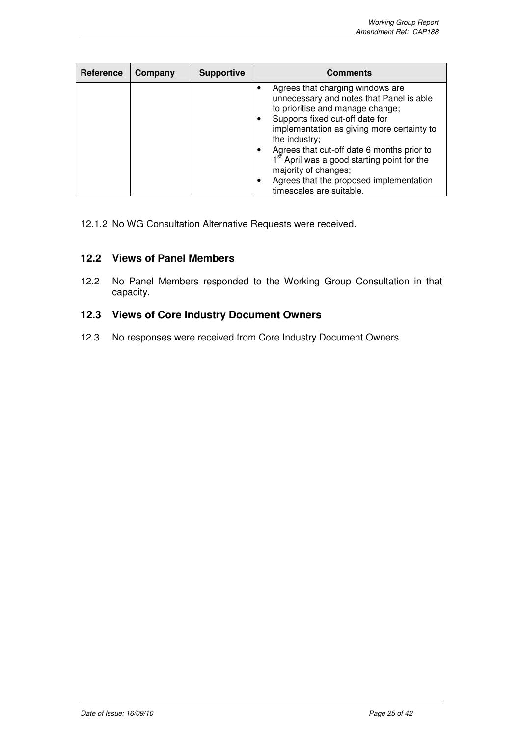| Reference | Company | <b>Supportive</b> | <b>Comments</b>                                                                                                                                                                                                                                                                                                                                                                                                            |  |  |
|-----------|---------|-------------------|----------------------------------------------------------------------------------------------------------------------------------------------------------------------------------------------------------------------------------------------------------------------------------------------------------------------------------------------------------------------------------------------------------------------------|--|--|
|           |         |                   | Agrees that charging windows are<br>unnecessary and notes that Panel is able<br>to prioritise and manage change;<br>Supports fixed cut-off date for<br>implementation as giving more certainty to<br>the industry;<br>Agrees that cut-off date 6 months prior to<br>1 <sup>st</sup> April was a good starting point for the<br>majority of changes;<br>Agrees that the proposed implementation<br>timescales are suitable. |  |  |

12.1.2 No WG Consultation Alternative Requests were received.

## **12.2 Views of Panel Members**

12.2 No Panel Members responded to the Working Group Consultation in that capacity.

## **12.3 Views of Core Industry Document Owners**

12.3 No responses were received from Core Industry Document Owners.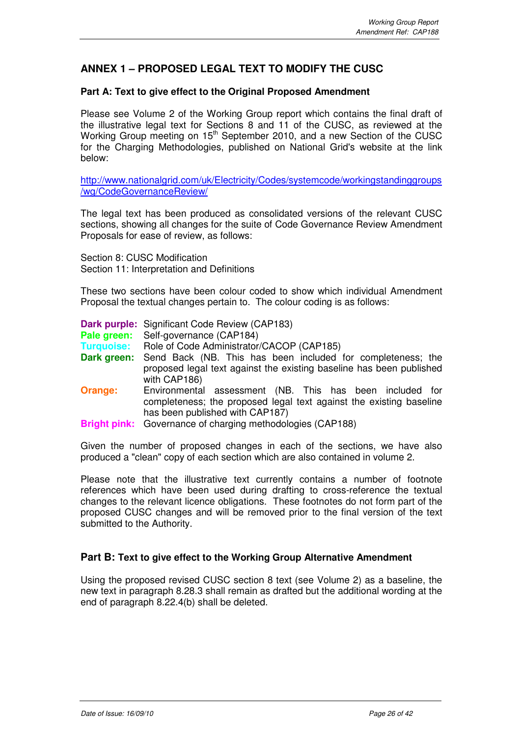## **ANNEX 1 – PROPOSED LEGAL TEXT TO MODIFY THE CUSC**

#### **Part A: Text to give effect to the Original Proposed Amendment**

Please see Volume 2 of the Working Group report which contains the final draft of the illustrative legal text for Sections 8 and 11 of the CUSC, as reviewed at the Working Group meeting on 15<sup>th</sup> September 2010, and a new Section of the CUSC for the Charging Methodologies, published on National Grid's website at the link below:

http://www.nationalgrid.com/uk/Electricity/Codes/systemcode/workingstandinggroups /wg/CodeGovernanceReview/

The legal text has been produced as consolidated versions of the relevant CUSC sections, showing all changes for the suite of Code Governance Review Amendment Proposals for ease of review, as follows:

Section 8: CUSC Modification Section 11: Interpretation and Definitions

These two sections have been colour coded to show which individual Amendment Proposal the textual changes pertain to. The colour coding is as follows:

**Dark purple:** Significant Code Review (CAP183)

Pale green: Self-governance (CAP184)

- **Turquoise:** Role of Code Administrator/CACOP (CAP185)
- **Dark green:** Send Back (NB. This has been included for completeness; the proposed legal text against the existing baseline has been published with CAP186)
- **Orange:** Environmental assessment (NB. This has been included for completeness; the proposed legal text against the existing baseline has been published with CAP187)
- **Bright pink:** Governance of charging methodologies (CAP188)

Given the number of proposed changes in each of the sections, we have also produced a "clean" copy of each section which are also contained in volume 2.

Please note that the illustrative text currently contains a number of footnote references which have been used during drafting to cross-reference the textual changes to the relevant licence obligations. These footnotes do not form part of the proposed CUSC changes and will be removed prior to the final version of the text submitted to the Authority.

#### **Part B: Text to give effect to the Working Group Alternative Amendment**

Using the proposed revised CUSC section 8 text (see Volume 2) as a baseline, the new text in paragraph 8.28.3 shall remain as drafted but the additional wording at the end of paragraph 8.22.4(b) shall be deleted.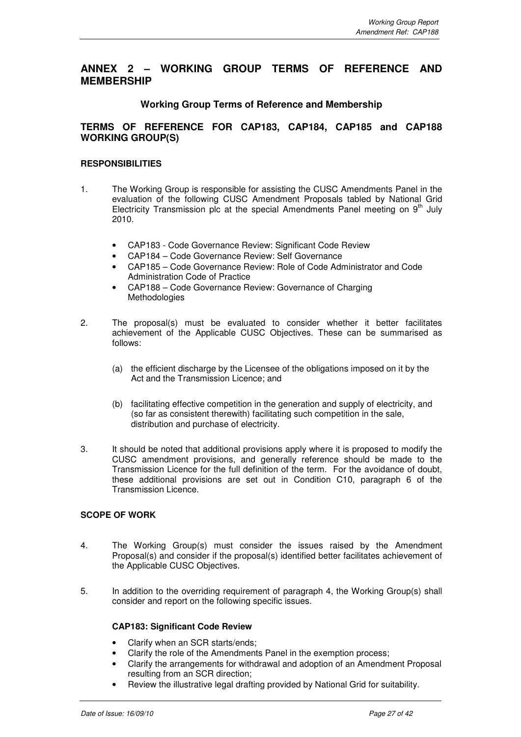## **ANNEX 2 – WORKING GROUP TERMS OF REFERENCE AND MEMBERSHIP**

#### **Working Group Terms of Reference and Membership**

#### **TERMS OF REFERENCE FOR CAP183, CAP184, CAP185 and CAP188 WORKING GROUP(S)**

#### **RESPONSIBILITIES**

- 1. The Working Group is responsible for assisting the CUSC Amendments Panel in the evaluation of the following CUSC Amendment Proposals tabled by National Grid Electricity Transmission plc at the special Amendments Panel meeting on  $9<sup>th</sup>$  July 2010.
	- CAP183 Code Governance Review: Significant Code Review
	- CAP184 Code Governance Review: Self Governance
	- CAP185 Code Governance Review: Role of Code Administrator and Code Administration Code of Practice
	- CAP188 Code Governance Review: Governance of Charging Methodologies
- 2. The proposal(s) must be evaluated to consider whether it better facilitates achievement of the Applicable CUSC Objectives. These can be summarised as follows:
	- (a) the efficient discharge by the Licensee of the obligations imposed on it by the Act and the Transmission Licence; and
	- (b) facilitating effective competition in the generation and supply of electricity, and (so far as consistent therewith) facilitating such competition in the sale, distribution and purchase of electricity.
- 3. It should be noted that additional provisions apply where it is proposed to modify the CUSC amendment provisions, and generally reference should be made to the Transmission Licence for the full definition of the term. For the avoidance of doubt, these additional provisions are set out in Condition C10, paragraph 6 of the Transmission Licence.

#### **SCOPE OF WORK**

- 4. The Working Group(s) must consider the issues raised by the Amendment Proposal(s) and consider if the proposal(s) identified better facilitates achievement of the Applicable CUSC Objectives.
- 5. In addition to the overriding requirement of paragraph 4, the Working Group(s) shall consider and report on the following specific issues.

#### **CAP183: Significant Code Review**

- Clarify when an SCR starts/ends;
- Clarify the role of the Amendments Panel in the exemption process;
- Clarify the arrangements for withdrawal and adoption of an Amendment Proposal resulting from an SCR direction;
- Review the illustrative legal drafting provided by National Grid for suitability.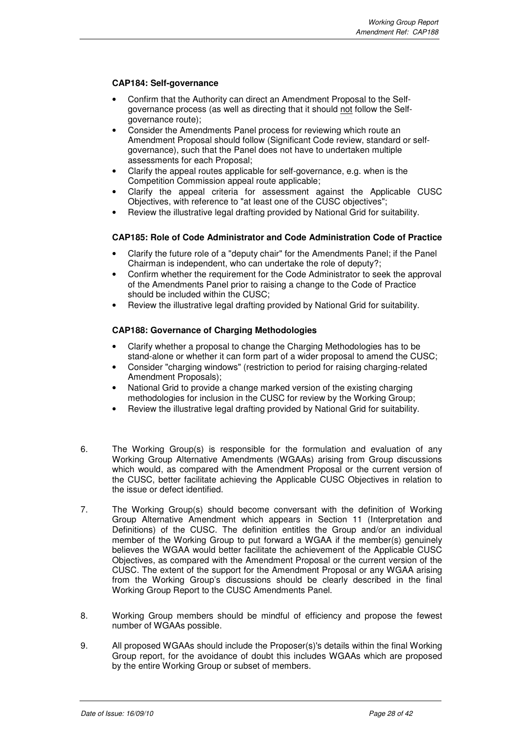#### **CAP184: Self-governance**

- Confirm that the Authority can direct an Amendment Proposal to the Selfgovernance process (as well as directing that it should not follow the Selfgovernance route);
- Consider the Amendments Panel process for reviewing which route an Amendment Proposal should follow (Significant Code review, standard or selfgovernance), such that the Panel does not have to undertaken multiple assessments for each Proposal;
- Clarify the appeal routes applicable for self-governance, e.g. when is the Competition Commission appeal route applicable;
- Clarify the appeal criteria for assessment against the Applicable CUSC Objectives, with reference to "at least one of the CUSC objectives";
- Review the illustrative legal drafting provided by National Grid for suitability.

#### **CAP185: Role of Code Administrator and Code Administration Code of Practice**

- Clarify the future role of a "deputy chair" for the Amendments Panel; if the Panel Chairman is independent, who can undertake the role of deputy?;
- Confirm whether the requirement for the Code Administrator to seek the approval of the Amendments Panel prior to raising a change to the Code of Practice should be included within the CUSC;
- Review the illustrative legal drafting provided by National Grid for suitability.

#### **CAP188: Governance of Charging Methodologies**

- Clarify whether a proposal to change the Charging Methodologies has to be stand-alone or whether it can form part of a wider proposal to amend the CUSC;
- Consider "charging windows" (restriction to period for raising charging-related Amendment Proposals);
- National Grid to provide a change marked version of the existing charging methodologies for inclusion in the CUSC for review by the Working Group;
- Review the illustrative legal drafting provided by National Grid for suitability.
- 6. The Working Group(s) is responsible for the formulation and evaluation of any Working Group Alternative Amendments (WGAAs) arising from Group discussions which would, as compared with the Amendment Proposal or the current version of the CUSC, better facilitate achieving the Applicable CUSC Objectives in relation to the issue or defect identified.
- 7. The Working Group(s) should become conversant with the definition of Working Group Alternative Amendment which appears in Section 11 (Interpretation and Definitions) of the CUSC. The definition entitles the Group and/or an individual member of the Working Group to put forward a WGAA if the member(s) genuinely believes the WGAA would better facilitate the achievement of the Applicable CUSC Objectives, as compared with the Amendment Proposal or the current version of the CUSC. The extent of the support for the Amendment Proposal or any WGAA arising from the Working Group's discussions should be clearly described in the final Working Group Report to the CUSC Amendments Panel.
- 8. Working Group members should be mindful of efficiency and propose the fewest number of WGAAs possible.
- 9. All proposed WGAAs should include the Proposer(s)'s details within the final Working Group report, for the avoidance of doubt this includes WGAAs which are proposed by the entire Working Group or subset of members.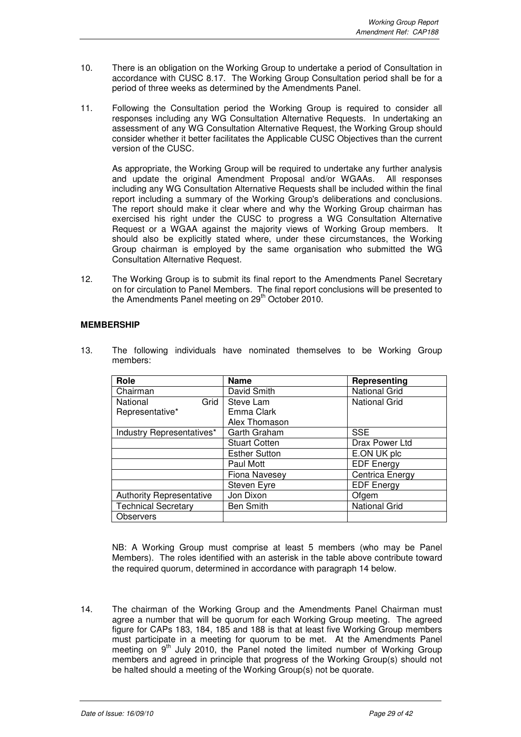- 10. There is an obligation on the Working Group to undertake a period of Consultation in accordance with CUSC 8.17. The Working Group Consultation period shall be for a period of three weeks as determined by the Amendments Panel.
- 11. Following the Consultation period the Working Group is required to consider all responses including any WG Consultation Alternative Requests. In undertaking an assessment of any WG Consultation Alternative Request, the Working Group should consider whether it better facilitates the Applicable CUSC Objectives than the current version of the CUSC.

As appropriate, the Working Group will be required to undertake any further analysis and update the original Amendment Proposal and/or WGAAs. All responses including any WG Consultation Alternative Requests shall be included within the final report including a summary of the Working Group's deliberations and conclusions. The report should make it clear where and why the Working Group chairman has exercised his right under the CUSC to progress a WG Consultation Alternative Request or a WGAA against the majority views of Working Group members. It should also be explicitly stated where, under these circumstances, the Working Group chairman is employed by the same organisation who submitted the WG Consultation Alternative Request.

12. The Working Group is to submit its final report to the Amendments Panel Secretary on for circulation to Panel Members. The final report conclusions will be presented to the Amendments Panel meeting on 29<sup>th</sup> October 2010.

#### **MEMBERSHIP**

13. The following individuals have nominated themselves to be Working Group members:

| Role                            | <b>Name</b>                | Representing         |  |
|---------------------------------|----------------------------|----------------------|--|
| Chairman                        | David Smith                | <b>National Grid</b> |  |
| Grid<br>National                | Steve Lam                  | <b>National Grid</b> |  |
| Representative*                 | Emma Clark                 |                      |  |
|                                 | Alex Thomason              |                      |  |
| Industry Representatives*       | <b>SSE</b><br>Garth Graham |                      |  |
|                                 | <b>Stuart Cotten</b>       | Drax Power Ltd       |  |
|                                 | <b>Esther Sutton</b>       | E.ON UK plc          |  |
|                                 | Paul Mott                  | <b>EDF Energy</b>    |  |
|                                 | Fiona Navesey              | Centrica Energy      |  |
|                                 | Steven Eyre                | <b>EDF Energy</b>    |  |
| <b>Authority Representative</b> | Jon Dixon                  | Ofgem                |  |
| <b>Technical Secretary</b>      | <b>Ben Smith</b>           | <b>National Grid</b> |  |
| <b>Observers</b>                |                            |                      |  |

 NB: A Working Group must comprise at least 5 members (who may be Panel Members). The roles identified with an asterisk in the table above contribute toward the required quorum, determined in accordance with paragraph 14 below.

14. The chairman of the Working Group and the Amendments Panel Chairman must agree a number that will be quorum for each Working Group meeting. The agreed figure for CAPs 183, 184, 185 and 188 is that at least five Working Group members must participate in a meeting for quorum to be met. At the Amendments Panel meeting on 9<sup>th</sup> July 2010, the Panel noted the limited number of Working Group members and agreed in principle that progress of the Working Group(s) should not be halted should a meeting of the Working Group(s) not be quorate.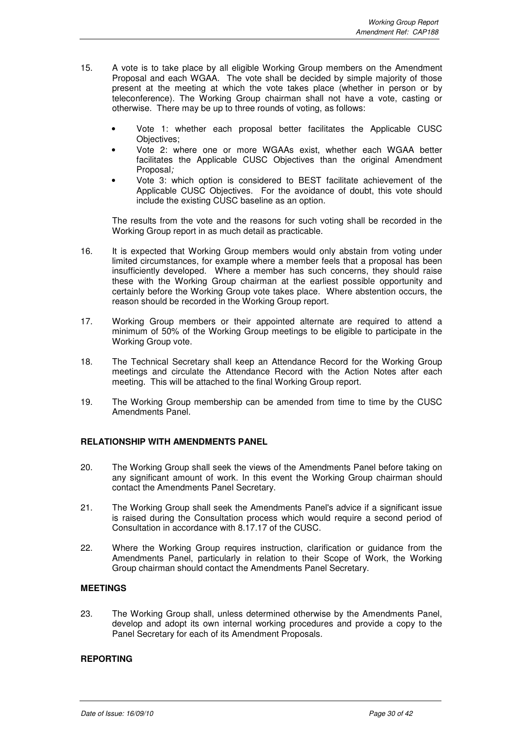- 15. A vote is to take place by all eligible Working Group members on the Amendment Proposal and each WGAA. The vote shall be decided by simple majority of those present at the meeting at which the vote takes place (whether in person or by teleconference). The Working Group chairman shall not have a vote, casting or otherwise. There may be up to three rounds of voting, as follows:
	- Vote 1: whether each proposal better facilitates the Applicable CUSC Objectives;
	- Vote 2: where one or more WGAAs exist, whether each WGAA better facilitates the Applicable CUSC Objectives than the original Amendment Proposal;
	- Vote 3: which option is considered to BEST facilitate achievement of the Applicable CUSC Objectives. For the avoidance of doubt, this vote should include the existing CUSC baseline as an option.

The results from the vote and the reasons for such voting shall be recorded in the Working Group report in as much detail as practicable.

- 16. It is expected that Working Group members would only abstain from voting under limited circumstances, for example where a member feels that a proposal has been insufficiently developed. Where a member has such concerns, they should raise these with the Working Group chairman at the earliest possible opportunity and certainly before the Working Group vote takes place. Where abstention occurs, the reason should be recorded in the Working Group report.
- 17. Working Group members or their appointed alternate are required to attend a minimum of 50% of the Working Group meetings to be eligible to participate in the Working Group vote.
- 18. The Technical Secretary shall keep an Attendance Record for the Working Group meetings and circulate the Attendance Record with the Action Notes after each meeting. This will be attached to the final Working Group report.
- 19. The Working Group membership can be amended from time to time by the CUSC Amendments Panel.

#### **RELATIONSHIP WITH AMENDMENTS PANEL**

- 20. The Working Group shall seek the views of the Amendments Panel before taking on any significant amount of work. In this event the Working Group chairman should contact the Amendments Panel Secretary.
- 21. The Working Group shall seek the Amendments Panel's advice if a significant issue is raised during the Consultation process which would require a second period of Consultation in accordance with 8.17.17 of the CUSC.
- 22. Where the Working Group requires instruction, clarification or guidance from the Amendments Panel, particularly in relation to their Scope of Work, the Working Group chairman should contact the Amendments Panel Secretary.

#### **MEETINGS**

23. The Working Group shall, unless determined otherwise by the Amendments Panel, develop and adopt its own internal working procedures and provide a copy to the Panel Secretary for each of its Amendment Proposals.

#### **REPORTING**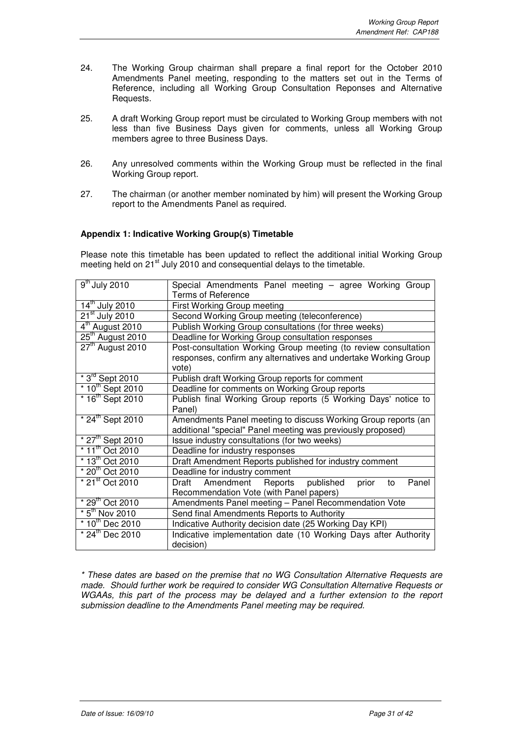- 24. The Working Group chairman shall prepare a final report for the October 2010 Amendments Panel meeting, responding to the matters set out in the Terms of Reference, including all Working Group Consultation Reponses and Alternative Requests.
- 25. A draft Working Group report must be circulated to Working Group members with not less than five Business Days given for comments, unless all Working Group members agree to three Business Days.
- 26. Any unresolved comments within the Working Group must be reflected in the final Working Group report.
- 27. The chairman (or another member nominated by him) will present the Working Group report to the Amendments Panel as required.

#### **Appendix 1: Indicative Working Group(s) Timetable**

Please note this timetable has been updated to reflect the additional initial Working Group meeting held on  $21<sup>st</sup>$  July 2010 and consequential delays to the timetable.

| $\overline{9}^{\text{th}}$ July 2010 | Special Amendments Panel meeting - agree Working Group<br><b>Terms of Reference</b> |  |  |  |  |  |  |  |
|--------------------------------------|-------------------------------------------------------------------------------------|--|--|--|--|--|--|--|
| $14^{\text{th}}$ July 2010           |                                                                                     |  |  |  |  |  |  |  |
|                                      | First Working Group meeting                                                         |  |  |  |  |  |  |  |
| $21st$ July 2010                     | Second Working Group meeting (teleconference)                                       |  |  |  |  |  |  |  |
| 4 <sup>th</sup> August 2010          | Publish Working Group consultations (for three weeks)                               |  |  |  |  |  |  |  |
| $25th$ August 2010                   | Deadline for Working Group consultation responses                                   |  |  |  |  |  |  |  |
| $27tn$ August 2010                   | Post-consultation Working Group meeting (to review consultation                     |  |  |  |  |  |  |  |
|                                      | responses, confirm any alternatives and undertake Working Group<br>vote)            |  |  |  |  |  |  |  |
| $*3^{rd}$ Sept 2010                  | Publish draft Working Group reports for comment                                     |  |  |  |  |  |  |  |
| $*10^{th}$ Sept 2010                 | Deadline for comments on Working Group reports                                      |  |  |  |  |  |  |  |
| $*16^{th}$ Sept 2010                 | Publish final Working Group reports (5 Working Days' notice to                      |  |  |  |  |  |  |  |
|                                      | Panel)                                                                              |  |  |  |  |  |  |  |
| $*24^{\text{th}}$ Sept 2010          | Amendments Panel meeting to discuss Working Group reports (an                       |  |  |  |  |  |  |  |
|                                      | additional "special" Panel meeting was previously proposed)                         |  |  |  |  |  |  |  |
| $*27^{th}$ Sept 2010                 | Issue industry consultations (for two weeks)                                        |  |  |  |  |  |  |  |
| $*$ 11 <sup>th</sup> Oct 2010        | Deadline for industry responses                                                     |  |  |  |  |  |  |  |
| $*13^{th}$ Oct 2010                  | Draft Amendment Reports published for industry comment                              |  |  |  |  |  |  |  |
| * 20 <sup>th</sup> Oct 2010          | Deadline for industry comment                                                       |  |  |  |  |  |  |  |
| $*$ 21 $\mathrm{^{st}}$ Oct 2010     | Draft Amendment Reports published<br>Panel<br>prior<br>to                           |  |  |  |  |  |  |  |
|                                      | Recommendation Vote (with Panel papers)                                             |  |  |  |  |  |  |  |
| $*29th$ Oct 2010                     | Amendments Panel meeting - Panel Recommendation Vote                                |  |  |  |  |  |  |  |
| $*5th$ Nov 2010                      | Send final Amendments Reports to Authority                                          |  |  |  |  |  |  |  |
| $*10^{th}$ Dec 2010                  | Indicative Authority decision date (25 Working Day KPI)                             |  |  |  |  |  |  |  |
| $*$ 24 <sup>th</sup> Dec 2010        | Indicative implementation date (10 Working Days after Authority                     |  |  |  |  |  |  |  |
|                                      | decision)                                                                           |  |  |  |  |  |  |  |
|                                      |                                                                                     |  |  |  |  |  |  |  |

\* These dates are based on the premise that no WG Consultation Alternative Requests are made. Should further work be required to consider WG Consultation Alternative Requests or WGAAs, this part of the process may be delayed and a further extension to the report submission deadline to the Amendments Panel meeting may be required.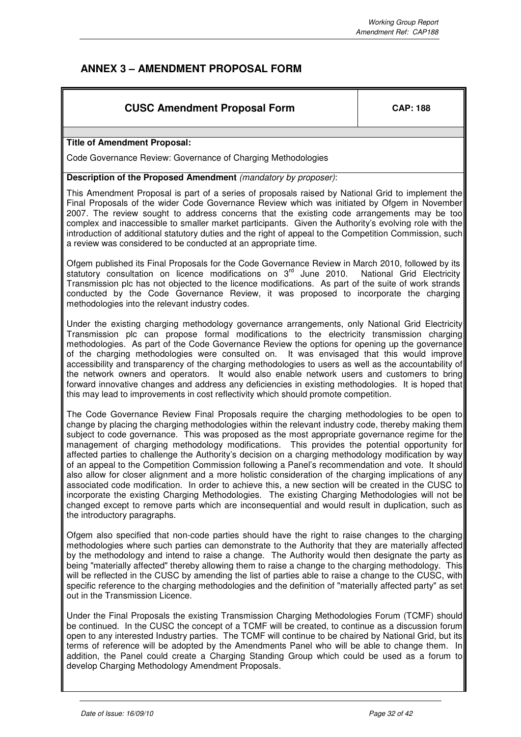## **ANNEX 3 – AMENDMENT PROPOSAL FORM**

## **CUSC Amendment Proposal Form**  $\vert$  **CAP: 188**

#### **Title of Amendment Proposal:**

Code Governance Review: Governance of Charging Methodologies

#### **Description of the Proposed Amendment** (mandatory by proposer):

This Amendment Proposal is part of a series of proposals raised by National Grid to implement the Final Proposals of the wider Code Governance Review which was initiated by Ofgem in November 2007. The review sought to address concerns that the existing code arrangements may be too complex and inaccessible to smaller market participants. Given the Authority's evolving role with the introduction of additional statutory duties and the right of appeal to the Competition Commission, such a review was considered to be conducted at an appropriate time.

Ofgem published its Final Proposals for the Code Governance Review in March 2010, followed by its statutory consultation on licence modifications on 3<sup>rd</sup> June 2010. National Grid Electricity Transmission plc has not objected to the licence modifications. As part of the suite of work strands conducted by the Code Governance Review, it was proposed to incorporate the charging methodologies into the relevant industry codes.

Under the existing charging methodology governance arrangements, only National Grid Electricity Transmission plc can propose formal modifications to the electricity transmission charging methodologies. As part of the Code Governance Review the options for opening up the governance of the charging methodologies were consulted on. It was envisaged that this would improve accessibility and transparency of the charging methodologies to users as well as the accountability of the network owners and operators. It would also enable network users and customers to bring forward innovative changes and address any deficiencies in existing methodologies. It is hoped that this may lead to improvements in cost reflectivity which should promote competition.

The Code Governance Review Final Proposals require the charging methodologies to be open to change by placing the charging methodologies within the relevant industry code, thereby making them subject to code governance. This was proposed as the most appropriate governance regime for the management of charging methodology modifications. This provides the potential opportunity for affected parties to challenge the Authority's decision on a charging methodology modification by way of an appeal to the Competition Commission following a Panel's recommendation and vote. It should also allow for closer alignment and a more holistic consideration of the charging implications of any associated code modification. In order to achieve this, a new section will be created in the CUSC to incorporate the existing Charging Methodologies. The existing Charging Methodologies will not be changed except to remove parts which are inconsequential and would result in duplication, such as the introductory paragraphs.

Ofgem also specified that non-code parties should have the right to raise changes to the charging methodologies where such parties can demonstrate to the Authority that they are materially affected by the methodology and intend to raise a change. The Authority would then designate the party as being "materially affected" thereby allowing them to raise a change to the charging methodology. This will be reflected in the CUSC by amending the list of parties able to raise a change to the CUSC, with specific reference to the charging methodologies and the definition of "materially affected party" as set out in the Transmission Licence.

Under the Final Proposals the existing Transmission Charging Methodologies Forum (TCMF) should be continued. In the CUSC the concept of a TCMF will be created, to continue as a discussion forum open to any interested Industry parties. The TCMF will continue to be chaired by National Grid, but its terms of reference will be adopted by the Amendments Panel who will be able to change them. In addition, the Panel could create a Charging Standing Group which could be used as a forum to develop Charging Methodology Amendment Proposals.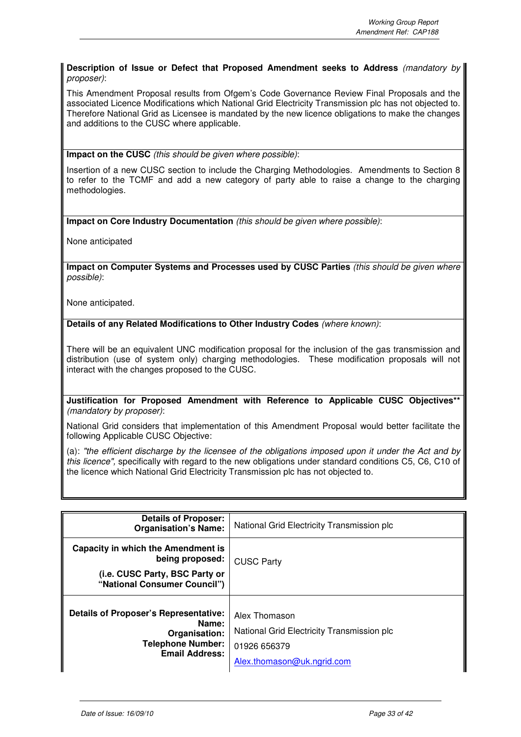#### **Description of Issue or Defect that Proposed Amendment seeks to Address** (mandatory by proposer):

This Amendment Proposal results from Ofgem's Code Governance Review Final Proposals and the associated Licence Modifications which National Grid Electricity Transmission plc has not objected to. Therefore National Grid as Licensee is mandated by the new licence obligations to make the changes and additions to the CUSC where applicable.

**Impact on the CUSC** (this should be given where possible):

Insertion of a new CUSC section to include the Charging Methodologies. Amendments to Section 8 to refer to the TCMF and add a new category of party able to raise a change to the charging methodologies.

**Impact on Core Industry Documentation** (this should be given where possible):

None anticipated

**Impact on Computer Systems and Processes used by CUSC Parties** (this should be given where possible):

None anticipated.

**Details of any Related Modifications to Other Industry Codes** (where known):

There will be an equivalent UNC modification proposal for the inclusion of the gas transmission and distribution (use of system only) charging methodologies. These modification proposals will not interact with the changes proposed to the CUSC.

**Justification for Proposed Amendment with Reference to Applicable CUSC Objectives\*\*** (mandatory by proposer):

National Grid considers that implementation of this Amendment Proposal would better facilitate the following Applicable CUSC Objective:

(a): "the efficient discharge by the licensee of the obligations imposed upon it under the Act and by this licence", specifically with regard to the new obligations under standard conditions C5, C6, C10 of the licence which National Grid Electricity Transmission plc has not objected to.

| <b>Details of Proposer:</b><br><b>Organisation's Name:</b>                                                                  | National Grid Electricity Transmission plc                                                                |  |
|-----------------------------------------------------------------------------------------------------------------------------|-----------------------------------------------------------------------------------------------------------|--|
| Capacity in which the Amendment is<br>being proposed:                                                                       | <b>CUSC Party</b>                                                                                         |  |
| (i.e. CUSC Party, BSC Party or<br>"National Consumer Council")                                                              |                                                                                                           |  |
| <b>Details of Proposer's Representative:</b><br>Name:<br>Organisation:<br><b>Telephone Number:</b><br><b>Email Address:</b> | Alex Thomason<br>National Grid Electricity Transmission plc<br>01926 656379<br>Alex.thomason@uk.ngrid.com |  |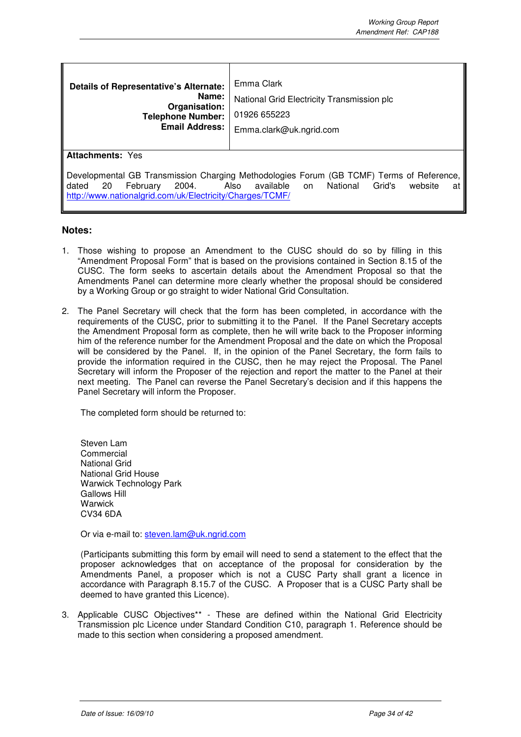| <b>Details of Representative's Alternate:</b><br>Name:<br>Organisation:<br><b>Telephone Number:</b><br><b>Email Address:</b>                                                                                                                            | Emma Clark<br>National Grid Electricity Transmission plc<br>01926 655223<br>Emma.clark@uk.ngrid.com |  |  |  |
|---------------------------------------------------------------------------------------------------------------------------------------------------------------------------------------------------------------------------------------------------------|-----------------------------------------------------------------------------------------------------|--|--|--|
| <b>Attachments: Yes</b>                                                                                                                                                                                                                                 |                                                                                                     |  |  |  |
| Developmental GB Transmission Charging Methodologies Forum (GB TCMF) Terms of Reference,<br>February<br>dated 20<br>2004.<br>available<br>National<br>Grid's<br>Also<br>website<br>on<br>at<br>http://www.nationalgrid.com/uk/Electricity/Charges/TCMF/ |                                                                                                     |  |  |  |

#### **Notes:**

- 1. Those wishing to propose an Amendment to the CUSC should do so by filling in this "Amendment Proposal Form" that is based on the provisions contained in Section 8.15 of the CUSC. The form seeks to ascertain details about the Amendment Proposal so that the Amendments Panel can determine more clearly whether the proposal should be considered by a Working Group or go straight to wider National Grid Consultation.
- 2. The Panel Secretary will check that the form has been completed, in accordance with the requirements of the CUSC, prior to submitting it to the Panel. If the Panel Secretary accepts the Amendment Proposal form as complete, then he will write back to the Proposer informing him of the reference number for the Amendment Proposal and the date on which the Proposal will be considered by the Panel. If, in the opinion of the Panel Secretary, the form fails to provide the information required in the CUSC, then he may reject the Proposal. The Panel Secretary will inform the Proposer of the rejection and report the matter to the Panel at their next meeting. The Panel can reverse the Panel Secretary's decision and if this happens the Panel Secretary will inform the Proposer.

The completed form should be returned to:

Steven Lam **Commercial** National Grid National Grid House Warwick Technology Park Gallows Hill **Warwick** CV34 6DA

Or via e-mail to: steven.lam@uk.ngrid.com

(Participants submitting this form by email will need to send a statement to the effect that the proposer acknowledges that on acceptance of the proposal for consideration by the Amendments Panel, a proposer which is not a CUSC Party shall grant a licence in accordance with Paragraph 8.15.7 of the CUSC. A Proposer that is a CUSC Party shall be deemed to have granted this Licence).

3. Applicable CUSC Objectives\*\* - These are defined within the National Grid Electricity Transmission plc Licence under Standard Condition C10, paragraph 1. Reference should be made to this section when considering a proposed amendment.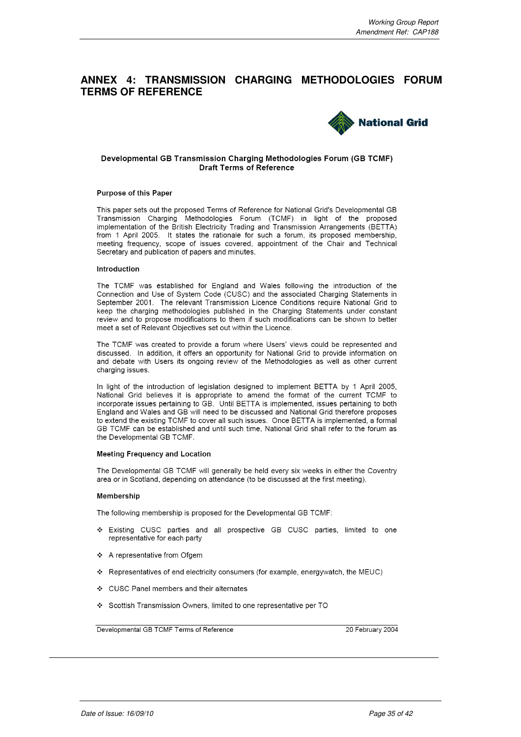## **ANNEX 4: TRANSMISSION CHARGING METHODOLOGIES FORUM TERMS OF REFERENCE**



#### Developmental GB Transmission Charging Methodologies Forum (GB TCMF) Draft Terms of Reference

#### **Purpose of this Paper**

This paper sets out the proposed Terms of Reference for National Grid's Developmental GB Transmission Charging Methodologies Forum (TCMF) in light of the proposed implementation of the British Electricity Trading and Transmission Arrangements (BETTA) from 1 April 2005. It states the rationale for such a forum, its proposed membership, meeting frequency, scope of issues covered, appointment of the Chair and Technical Secretary and publication of papers and minutes.

#### Introduction

The TCMF was established for England and Wales following the introduction of the Connection and Use of System Code (CUSC) and the associated Charging Statements in September 2001. The relevant Transmission Licence Conditions require National Grid to keep the charging methodologies published in the Charging Statements under constant review and to propose modifications to them if such modifications can be shown to better meet a set of Relevant Objectives set out within the Licence.

The TCMF was created to provide a forum where Users' views could be represented and discussed. In addition, it offers an opportunity for National Grid to provide information on and debate with Users its ongoing review of the Methodologies as well as other current charging issues.

In light of the introduction of legislation designed to implement BETTA by 1 April 2005, National Grid believes it is appropriate to amend the format of the current TCMF to incorporate issues pertaining to GB. Until BETTA is implemented, issues pertaining to both England and Wales and GB will need to be discussed and National Grid therefore proposes to extend the existing TCMF to cover all such issues. Once BETTA is implemented, a formal GB TCMF can be established and until such time, National Grid shall refer to the forum as the Developmental GB TCMF.

#### **Meeting Frequency and Location**

The Developmental GB TCMF will generally be held every six weeks in either the Coventry area or in Scotland, depending on attendance (to be discussed at the first meeting).

#### **Membership**

The following membership is proposed for the Developmental GB TCMF:

- \* Existing CUSC parties and all prospective GB CUSC parties, limited to one representative for each party
- ❖ A representative from Ofgem
- ❖ Representatives of end electricity consumers (for example, energywatch, the MEUC)
- ❖ CUSC Panel members and their alternates
- ❖ Scottish Transmission Owners, limited to one representative per TO

Developmental GB TCMF Terms of Reference

20 February 2004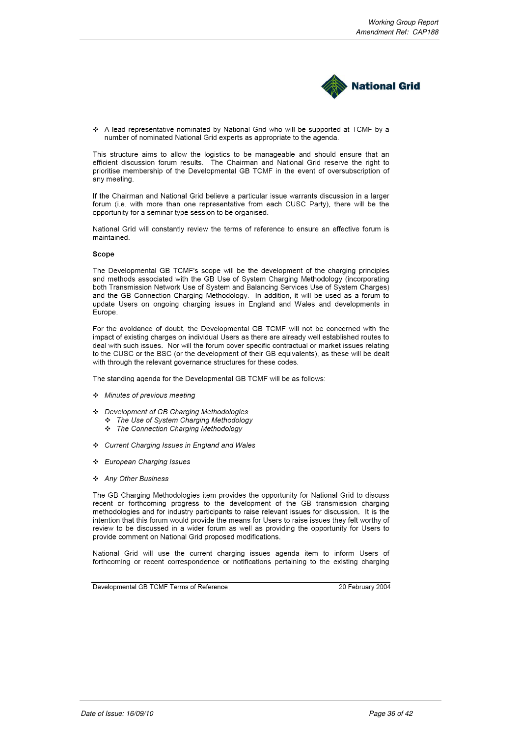

A lead representative nominated by National Grid who will be supported at TCMF by a number of nominated National Grid experts as appropriate to the agenda.

This structure aims to allow the logistics to be manageable and should ensure that an efficient discussion forum results. The Chairman and National Grid reserve the right to prioritise membership of the Developmental GB TCMF in the event of oversubscription of any meeting.

If the Chairman and National Grid believe a particular issue warrants discussion in a larger forum (i.e. with more than one representative from each CUSC Party), there will be the opportunity for a seminar type session to be organised.

National Grid will constantly review the terms of reference to ensure an effective forum is maintained

#### Scope

The Developmental GB TCMF's scope will be the development of the charging principles and methods associated with the GB Use of System Charging Methodology (incorporating both Transmission Network Use of System and Balancing Services Use of System Charges) and the GB Connection Charging Methodology. In addition, it will be used as a forum to update Users on ongoing charging issues in England and Wales and developments in Europe.

For the avoidance of doubt, the Developmental GB TCMF will not be concerned with the impact of existing charges on individual Users as there are already well established routes to deal with such issues. Nor will the forum cover specific contractual or market issues relating to the CUSC or the BSC (or the development of their GB equivalents), as these will be dealt with through the relevant governance structures for these codes.

The standing agenda for the Developmental GB TCMF will be as follows:

- Minutes of previous meeting
- Development of GB Charging Methodologies
	- \* The Use of System Charging Methodology
	- \* The Connection Charging Methodology
- ❖ Current Charging Issues in England and Wales
- ❖ European Charging Issues
- ❖ Any Other Business

The GB Charging Methodologies item provides the opportunity for National Grid to discuss recent or forthcoming progress to the development of the GB transmission charging methodologies and for industry participants to raise relevant issues for discussion. It is the intention that this forum would provide the means for Users to raise issues they felt worthy of review to be discussed in a wider forum as well as providing the opportunity for Users to provide comment on National Grid proposed modifications.

National Grid will use the current charging issues agenda item to inform Users of forthcoming or recent correspondence or notifications pertaining to the existing charging

Developmental GB TCMF Terms of Reference

20 February 2004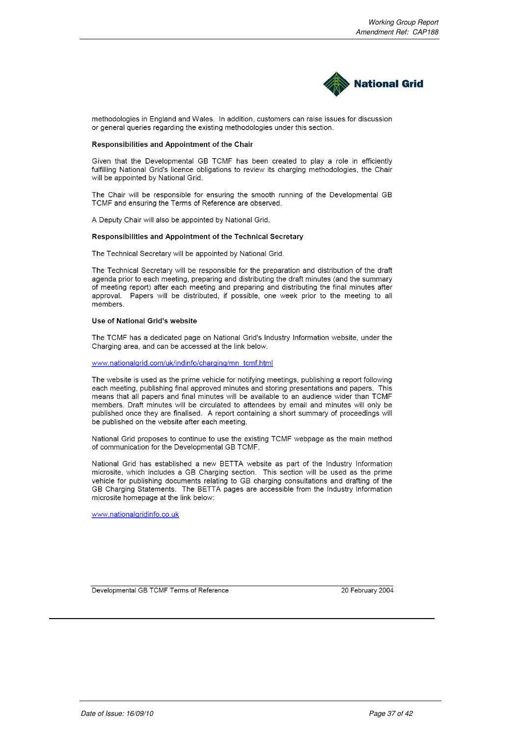

methodologies in England and Wales. In addition, customers can raise issues for discussion or general queries regarding the existing methodologies under this section.

#### Responsibilities and Appointment of the Chair

Given that the Developmental GB TCMF has been created to play a role in efficiently fulfilling National Grid's licence obligations to review its charging methodologies, the Chair will be appointed by National Grid.

The Chair will be responsible for ensuring the smooth running of the Developmental GB TCMF and ensuring the Terms of Reference are observed.

A Deputy Chair will also be appointed by National Grid.

#### Responsibilities and Appointment of the Technical Secretary

The Technical Secretary will be appointed by National Grid.

The Technical Secretary will be responsible for the preparation and distribution of the draft agenda prior to each meeting, preparing and distributing the draft minutes (and the summary of meeting report) after each meeting and preparing and distributing the final minutes after approval. Papers will be distributed, if possible, one week prior to the meeting to all members.

#### Use of National Grid's website

The TCMF has a dedicated page on National Grid's Industry Information website, under the Charging area, and can be accessed at the link below.

#### www.nationalgrid.com/uk/indinfo/charging/mn\_tcmf.html

The website is used as the prime vehicle for notifying meetings, publishing a report following each meeting, publishing final approved minutes and storing presentations and papers. This means that all papers and final minutes will be available to an audience wider than TCMF members. Draft minutes will be circulated to attendees by email and minutes will only be published once they are finalised. A report containing a short summary of proceedings will be published on the website after each meeting.

National Grid proposes to continue to use the existing TCMF webpage as the main method of communication for the Developmental GB TCMF.

National Grid has established a new BETTA website as part of the Industry Information microsite, which includes a GB Charging section. This section will be used as the prime vehicle for publishing documents relating to GB charging consultations and drafting of the GB Charging Statements. The BETTA pages are accessible from the Industry Information microsite homepage at the link below:

www.nationalgridinfo.co.uk

Developmental GB TCMF Terms of Reference

20 February 2004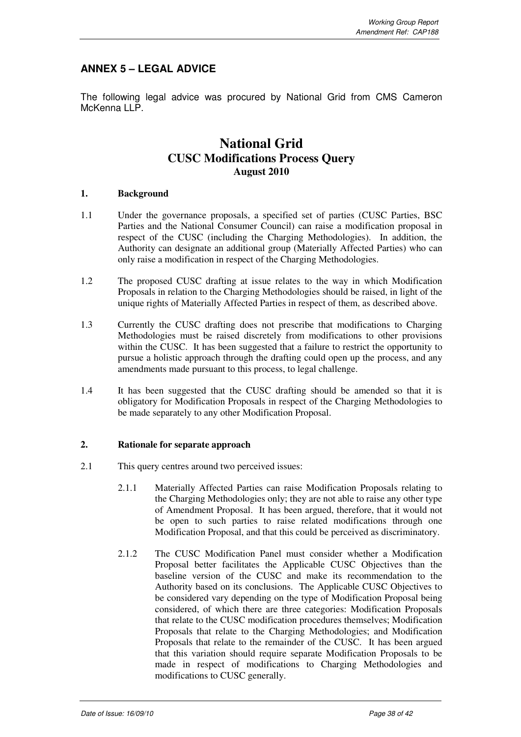## **ANNEX 5 – LEGAL ADVICE**

The following legal advice was procured by National Grid from CMS Cameron McKenna LLP.

## **National Grid CUSC Modifications Process Query August 2010**

#### **1. Background**

- 1.1 Under the governance proposals, a specified set of parties (CUSC Parties, BSC Parties and the National Consumer Council) can raise a modification proposal in respect of the CUSC (including the Charging Methodologies). In addition, the Authority can designate an additional group (Materially Affected Parties) who can only raise a modification in respect of the Charging Methodologies.
- 1.2 The proposed CUSC drafting at issue relates to the way in which Modification Proposals in relation to the Charging Methodologies should be raised, in light of the unique rights of Materially Affected Parties in respect of them, as described above.
- 1.3 Currently the CUSC drafting does not prescribe that modifications to Charging Methodologies must be raised discretely from modifications to other provisions within the CUSC. It has been suggested that a failure to restrict the opportunity to pursue a holistic approach through the drafting could open up the process, and any amendments made pursuant to this process, to legal challenge.
- 1.4 It has been suggested that the CUSC drafting should be amended so that it is obligatory for Modification Proposals in respect of the Charging Methodologies to be made separately to any other Modification Proposal.

#### **2. Rationale for separate approach**

- 2.1 This query centres around two perceived issues:
	- 2.1.1 Materially Affected Parties can raise Modification Proposals relating to the Charging Methodologies only; they are not able to raise any other type of Amendment Proposal. It has been argued, therefore, that it would not be open to such parties to raise related modifications through one Modification Proposal, and that this could be perceived as discriminatory.
	- 2.1.2 The CUSC Modification Panel must consider whether a Modification Proposal better facilitates the Applicable CUSC Objectives than the baseline version of the CUSC and make its recommendation to the Authority based on its conclusions. The Applicable CUSC Objectives to be considered vary depending on the type of Modification Proposal being considered, of which there are three categories: Modification Proposals that relate to the CUSC modification procedures themselves; Modification Proposals that relate to the Charging Methodologies; and Modification Proposals that relate to the remainder of the CUSC. It has been argued that this variation should require separate Modification Proposals to be made in respect of modifications to Charging Methodologies and modifications to CUSC generally.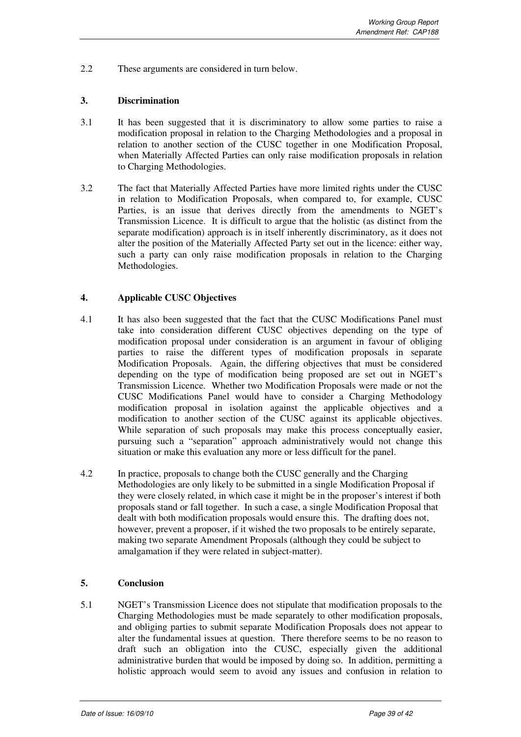2.2 These arguments are considered in turn below.

#### **3. Discrimination**

- 3.1 It has been suggested that it is discriminatory to allow some parties to raise a modification proposal in relation to the Charging Methodologies and a proposal in relation to another section of the CUSC together in one Modification Proposal, when Materially Affected Parties can only raise modification proposals in relation to Charging Methodologies.
- 3.2 The fact that Materially Affected Parties have more limited rights under the CUSC in relation to Modification Proposals, when compared to, for example, CUSC Parties, is an issue that derives directly from the amendments to NGET's Transmission Licence. It is difficult to argue that the holistic (as distinct from the separate modification) approach is in itself inherently discriminatory, as it does not alter the position of the Materially Affected Party set out in the licence: either way, such a party can only raise modification proposals in relation to the Charging Methodologies.

#### **4. Applicable CUSC Objectives**

- 4.1 It has also been suggested that the fact that the CUSC Modifications Panel must take into consideration different CUSC objectives depending on the type of modification proposal under consideration is an argument in favour of obliging parties to raise the different types of modification proposals in separate Modification Proposals. Again, the differing objectives that must be considered depending on the type of modification being proposed are set out in NGET's Transmission Licence. Whether two Modification Proposals were made or not the CUSC Modifications Panel would have to consider a Charging Methodology modification proposal in isolation against the applicable objectives and a modification to another section of the CUSC against its applicable objectives. While separation of such proposals may make this process conceptually easier, pursuing such a "separation" approach administratively would not change this situation or make this evaluation any more or less difficult for the panel.
- 4.2 In practice, proposals to change both the CUSC generally and the Charging Methodologies are only likely to be submitted in a single Modification Proposal if they were closely related, in which case it might be in the proposer's interest if both proposals stand or fall together. In such a case, a single Modification Proposal that dealt with both modification proposals would ensure this. The drafting does not, however, prevent a proposer, if it wished the two proposals to be entirely separate, making two separate Amendment Proposals (although they could be subject to amalgamation if they were related in subject-matter).

#### **5. Conclusion**

5.1 NGET's Transmission Licence does not stipulate that modification proposals to the Charging Methodologies must be made separately to other modification proposals, and obliging parties to submit separate Modification Proposals does not appear to alter the fundamental issues at question. There therefore seems to be no reason to draft such an obligation into the CUSC, especially given the additional administrative burden that would be imposed by doing so. In addition, permitting a holistic approach would seem to avoid any issues and confusion in relation to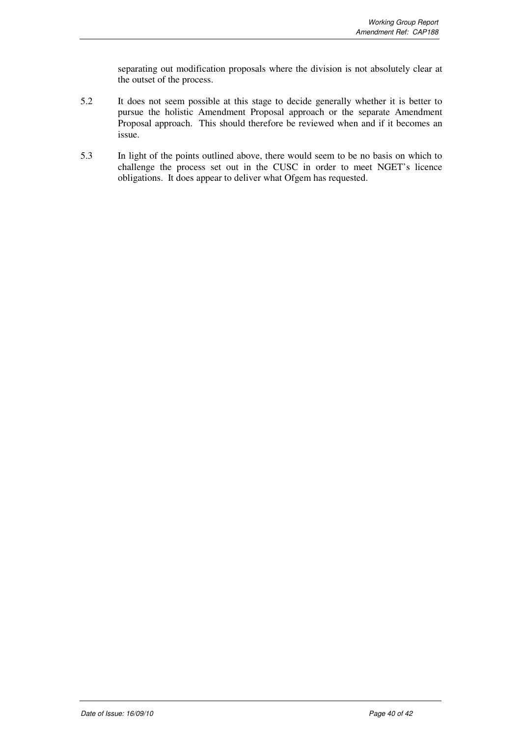separating out modification proposals where the division is not absolutely clear at the outset of the process.

- 5.2 It does not seem possible at this stage to decide generally whether it is better to pursue the holistic Amendment Proposal approach or the separate Amendment Proposal approach. This should therefore be reviewed when and if it becomes an issue.
- 5.3 In light of the points outlined above, there would seem to be no basis on which to challenge the process set out in the CUSC in order to meet NGET's licence obligations. It does appear to deliver what Ofgem has requested.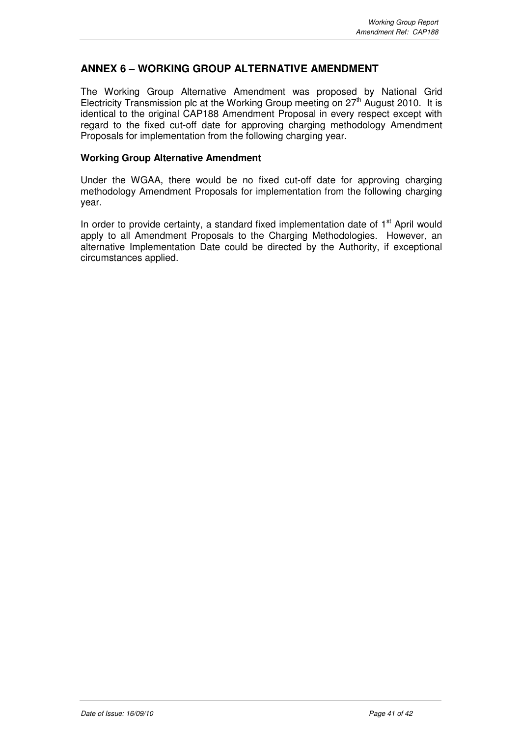## **ANNEX 6 – WORKING GROUP ALTERNATIVE AMENDMENT**

The Working Group Alternative Amendment was proposed by National Grid Electricity Transmission plc at the Working Group meeting on  $27<sup>th</sup>$  August 2010. It is identical to the original CAP188 Amendment Proposal in every respect except with regard to the fixed cut-off date for approving charging methodology Amendment Proposals for implementation from the following charging year.

#### **Working Group Alternative Amendment**

Under the WGAA, there would be no fixed cut-off date for approving charging methodology Amendment Proposals for implementation from the following charging year.

In order to provide certainty, a standard fixed implementation date of  $1<sup>st</sup>$  April would apply to all Amendment Proposals to the Charging Methodologies. However, an alternative Implementation Date could be directed by the Authority, if exceptional circumstances applied.